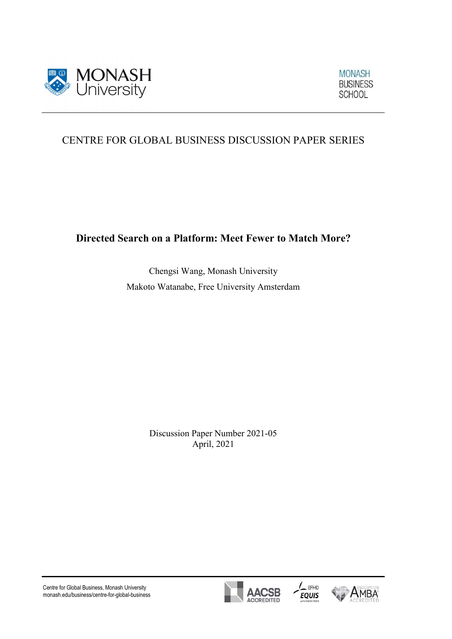

 $\overline{a}$ 

**MONASH BUSINESS SCHOOL** 

# CENTRE FOR GLOBAL BUSINESS DISCUSSION PAPER SERIES

Directed Search on a Platform: Meet Fewer to Match More?

Chengsi Wang, Monash University Makoto Watanabe, Free University Amsterdam

> Discussion Paper Number 2021-05 April, 2021

Centre for Global Business, Monash University monash.edu/business/centre-for-global-business





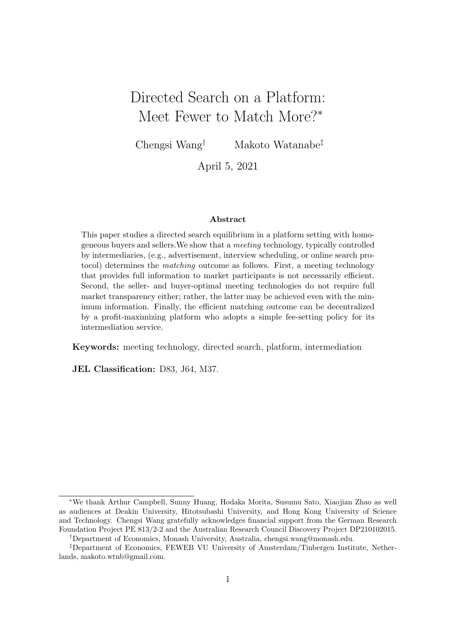# Directed Search on a Platform: Meet Fewer to Match More?<sup>∗</sup>

Chengsi Wang† Makoto Watanabe‡

April 5, 2021

#### Abstract

This paper studies a directed search equilibrium in a platform setting with homogeneous buyers and sellers.We show that a meeting technology, typically controlled by intermediaries, (e.g., advertisement, interview scheduling, or online search protocol) determines the matching outcome as follows. First, a meeting technology that provides full information to market participants is not necessarily efficient. Second, the seller- and buyer-optimal meeting technologies do not require full market transparency either; rather, the latter may be achieved even with the minimum information. Finally, the efficient matching outcome can be decentralized by a profit-maximizing platform who adopts a simple fee-setting policy for its intermediation service.

Keywords: meeting technology, directed search, platform, intermediation

JEL Classification: D83, J64, M37.

<sup>∗</sup>We thank Arthur Campbell, Sunny Huang, Hodaka Morita, Susumu Sato, Xiaojian Zhao as well as audiences at Deakin University, Hitotsubashi University, and Hong Kong University of Science and Technology. Chengsi Wang gratefully acknowledges financial support from the German Research Foundation Project PE 813/2-2 and the Australian Research Council Discovery Project DP210102015.

<sup>†</sup>Department of Economics, Monash University, Australia, chengsi.wang@monash.edu.

<sup>‡</sup>Department of Economics, FEWEB VU University of Amsterdam/Tinbergen Institute, Netherlands, makoto.wtnb@gmail.com.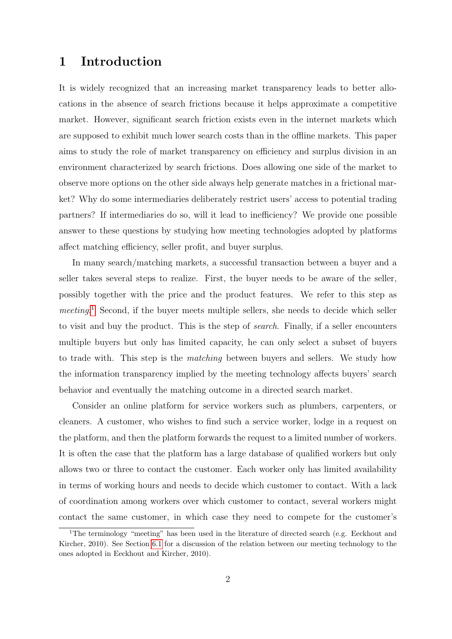### 1 Introduction

It is widely recognized that an increasing market transparency leads to better allocations in the absence of search frictions because it helps approximate a competitive market. However, significant search friction exists even in the internet markets which are supposed to exhibit much lower search costs than in the offline markets. This paper aims to study the role of market transparency on efficiency and surplus division in an environment characterized by search frictions. Does allowing one side of the market to observe more options on the other side always help generate matches in a frictional market? Why do some intermediaries deliberately restrict users' access to potential trading partners? If intermediaries do so, will it lead to inefficiency? We provide one possible answer to these questions by studying how meeting technologies adopted by platforms affect matching efficiency, seller profit, and buyer surplus.

In many search/matching markets, a successful transaction between a buyer and a seller takes several steps to realize. First, the buyer needs to be aware of the seller, possibly together with the price and the product features. We refer to this step as meeting.<sup>1</sup> Second, if the buyer meets multiple sellers, she needs to decide which seller to visit and buy the product. This is the step of search. Finally, if a seller encounters multiple buyers but only has limited capacity, he can only select a subset of buyers to trade with. This step is the matching between buyers and sellers. We study how the information transparency implied by the meeting technology affects buyers' search behavior and eventually the matching outcome in a directed search market.

Consider an online platform for service workers such as plumbers, carpenters, or cleaners. A customer, who wishes to find such a service worker, lodge in a request on the platform, and then the platform forwards the request to a limited number of workers. It is often the case that the platform has a large database of qualified workers but only allows two or three to contact the customer. Each worker only has limited availability in terms of working hours and needs to decide which customer to contact. With a lack of coordination among workers over which customer to contact, several workers might contact the same customer, in which case they need to compete for the customer's

<sup>&</sup>lt;sup>1</sup>The terminology "meeting" has been used in the literature of directed search (e.g. Eeckhout and Kircher, 2010). See Section 6.1 for a discussion of the relation between our meeting technology to the ones adopted in Eeckhout and Kircher, 2010).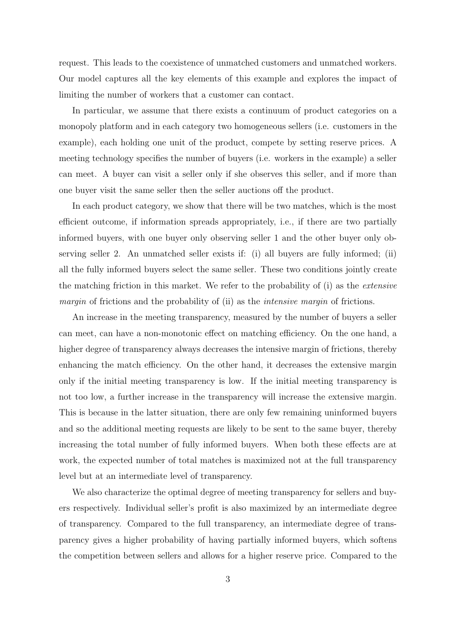request. This leads to the coexistence of unmatched customers and unmatched workers. Our model captures all the key elements of this example and explores the impact of limiting the number of workers that a customer can contact.

In particular, we assume that there exists a continuum of product categories on a monopoly platform and in each category two homogeneous sellers (i.e. customers in the example), each holding one unit of the product, compete by setting reserve prices. A meeting technology specifies the number of buyers (i.e. workers in the example) a seller can meet. A buyer can visit a seller only if she observes this seller, and if more than one buyer visit the same seller then the seller auctions off the product.

In each product category, we show that there will be two matches, which is the most efficient outcome, if information spreads appropriately, i.e., if there are two partially informed buyers, with one buyer only observing seller 1 and the other buyer only observing seller 2. An unmatched seller exists if: (i) all buyers are fully informed; (ii) all the fully informed buyers select the same seller. These two conditions jointly create the matching friction in this market. We refer to the probability of (i) as the extensive margin of frictions and the probability of (ii) as the intensive margin of frictions.

An increase in the meeting transparency, measured by the number of buyers a seller can meet, can have a non-monotonic effect on matching efficiency. On the one hand, a higher degree of transparency always decreases the intensive margin of frictions, thereby enhancing the match efficiency. On the other hand, it decreases the extensive margin only if the initial meeting transparency is low. If the initial meeting transparency is not too low, a further increase in the transparency will increase the extensive margin. This is because in the latter situation, there are only few remaining uninformed buyers and so the additional meeting requests are likely to be sent to the same buyer, thereby increasing the total number of fully informed buyers. When both these effects are at work, the expected number of total matches is maximized not at the full transparency level but at an intermediate level of transparency.

We also characterize the optimal degree of meeting transparency for sellers and buyers respectively. Individual seller's profit is also maximized by an intermediate degree of transparency. Compared to the full transparency, an intermediate degree of transparency gives a higher probability of having partially informed buyers, which softens the competition between sellers and allows for a higher reserve price. Compared to the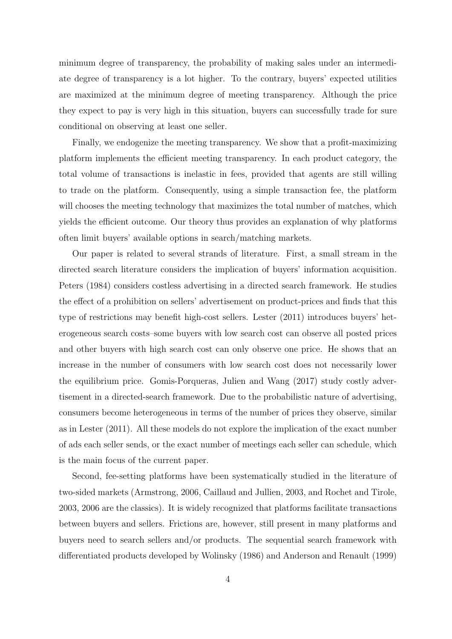minimum degree of transparency, the probability of making sales under an intermediate degree of transparency is a lot higher. To the contrary, buyers' expected utilities are maximized at the minimum degree of meeting transparency. Although the price they expect to pay is very high in this situation, buyers can successfully trade for sure conditional on observing at least one seller.

Finally, we endogenize the meeting transparency. We show that a profit-maximizing platform implements the efficient meeting transparency. In each product category, the total volume of transactions is inelastic in fees, provided that agents are still willing to trade on the platform. Consequently, using a simple transaction fee, the platform will chooses the meeting technology that maximizes the total number of matches, which yields the efficient outcome. Our theory thus provides an explanation of why platforms often limit buyers' available options in search/matching markets.

Our paper is related to several strands of literature. First, a small stream in the directed search literature considers the implication of buyers' information acquisition. Peters (1984) considers costless advertising in a directed search framework. He studies the effect of a prohibition on sellers' advertisement on product-prices and finds that this type of restrictions may benefit high-cost sellers. Lester (2011) introduces buyers' heterogeneous search costs–some buyers with low search cost can observe all posted prices and other buyers with high search cost can only observe one price. He shows that an increase in the number of consumers with low search cost does not necessarily lower the equilibrium price. Gomis-Porqueras, Julien and Wang (2017) study costly advertisement in a directed-search framework. Due to the probabilistic nature of advertising, consumers become heterogeneous in terms of the number of prices they observe, similar as in Lester (2011). All these models do not explore the implication of the exact number of ads each seller sends, or the exact number of meetings each seller can schedule, which is the main focus of the current paper.

Second, fee-setting platforms have been systematically studied in the literature of two-sided markets (Armstrong, 2006, Caillaud and Jullien, 2003, and Rochet and Tirole, 2003, 2006 are the classics). It is widely recognized that platforms facilitate transactions between buyers and sellers. Frictions are, however, still present in many platforms and buyers need to search sellers and/or products. The sequential search framework with differentiated products developed by Wolinsky (1986) and Anderson and Renault (1999)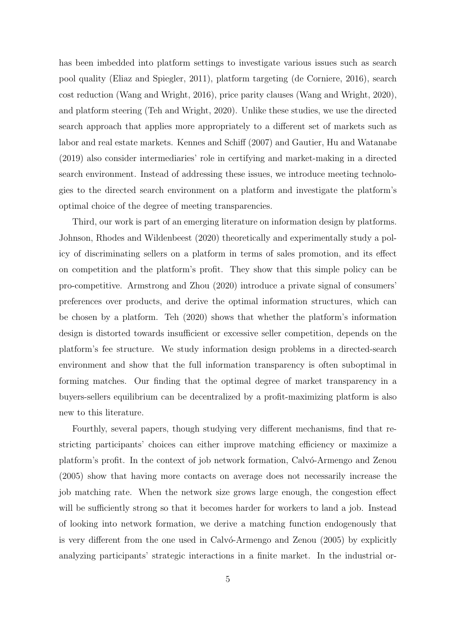has been imbedded into platform settings to investigate various issues such as search pool quality (Eliaz and Spiegler, 2011), platform targeting (de Corniere, 2016), search cost reduction (Wang and Wright, 2016), price parity clauses (Wang and Wright, 2020), and platform steering (Teh and Wright, 2020). Unlike these studies, we use the directed search approach that applies more appropriately to a different set of markets such as labor and real estate markets. Kennes and Schiff (2007) and Gautier, Hu and Watanabe (2019) also consider intermediaries' role in certifying and market-making in a directed search environment. Instead of addressing these issues, we introduce meeting technologies to the directed search environment on a platform and investigate the platform's optimal choice of the degree of meeting transparencies.

Third, our work is part of an emerging literature on information design by platforms. Johnson, Rhodes and Wildenbeest (2020) theoretically and experimentally study a policy of discriminating sellers on a platform in terms of sales promotion, and its effect on competition and the platform's profit. They show that this simple policy can be pro-competitive. Armstrong and Zhou (2020) introduce a private signal of consumers' preferences over products, and derive the optimal information structures, which can be chosen by a platform. Teh (2020) shows that whether the platform's information design is distorted towards insufficient or excessive seller competition, depends on the platform's fee structure. We study information design problems in a directed-search environment and show that the full information transparency is often suboptimal in forming matches. Our finding that the optimal degree of market transparency in a buyers-sellers equilibrium can be decentralized by a profit-maximizing platform is also new to this literature.

Fourthly, several papers, though studying very different mechanisms, find that restricting participants' choices can either improve matching efficiency or maximize a platform's profit. In the context of job network formation, Calvó-Armengo and Zenou (2005) show that having more contacts on average does not necessarily increase the job matching rate. When the network size grows large enough, the congestion effect will be sufficiently strong so that it becomes harder for workers to land a job. Instead of looking into network formation, we derive a matching function endogenously that is very different from the one used in Calv $\acute{o}$ -Armengo and Zenou (2005) by explicitly analyzing participants' strategic interactions in a finite market. In the industrial or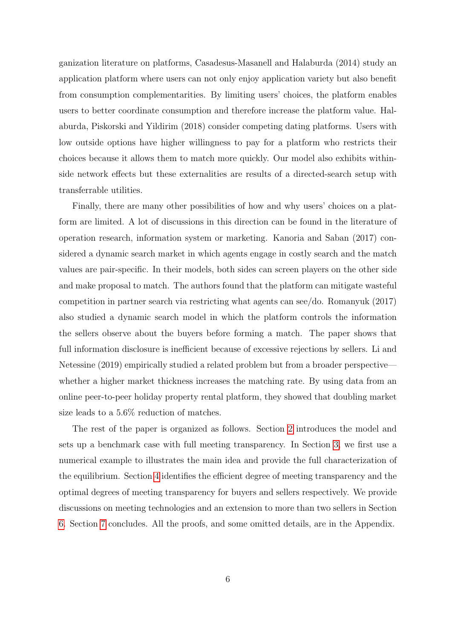ganization literature on platforms, Casadesus-Masanell and Halaburda (2014) study an application platform where users can not only enjoy application variety but also benefit from consumption complementarities. By limiting users' choices, the platform enables users to better coordinate consumption and therefore increase the platform value. Halaburda, Piskorski and Yildirim (2018) consider competing dating platforms. Users with low outside options have higher willingness to pay for a platform who restricts their choices because it allows them to match more quickly. Our model also exhibits withinside network effects but these externalities are results of a directed-search setup with transferrable utilities.

Finally, there are many other possibilities of how and why users' choices on a platform are limited. A lot of discussions in this direction can be found in the literature of operation research, information system or marketing. Kanoria and Saban (2017) considered a dynamic search market in which agents engage in costly search and the match values are pair-specific. In their models, both sides can screen players on the other side and make proposal to match. The authors found that the platform can mitigate wasteful competition in partner search via restricting what agents can see/do. Romanyuk (2017) also studied a dynamic search model in which the platform controls the information the sellers observe about the buyers before forming a match. The paper shows that full information disclosure is inefficient because of excessive rejections by sellers. Li and Netessine (2019) empirically studied a related problem but from a broader perspective whether a higher market thickness increases the matching rate. By using data from an online peer-to-peer holiday property rental platform, they showed that doubling market size leads to a 5.6% reduction of matches.

The rest of the paper is organized as follows. Section 2 introduces the model and sets up a benchmark case with full meeting transparency. In Section 3, we first use a numerical example to illustrates the main idea and provide the full characterization of the equilibrium. Section 4 identifies the efficient degree of meeting transparency and the optimal degrees of meeting transparency for buyers and sellers respectively. We provide discussions on meeting technologies and an extension to more than two sellers in Section 6. Section 7 concludes. All the proofs, and some omitted details, are in the Appendix.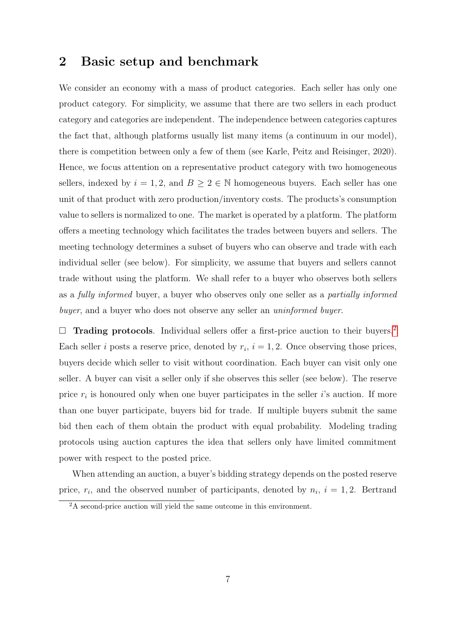### 2 Basic setup and benchmark

We consider an economy with a mass of product categories. Each seller has only one product category. For simplicity, we assume that there are two sellers in each product category and categories are independent. The independence between categories captures the fact that, although platforms usually list many items (a continuum in our model), there is competition between only a few of them (see Karle, Peitz and Reisinger, 2020). Hence, we focus attention on a representative product category with two homogeneous sellers, indexed by  $i = 1, 2$ , and  $B \ge 2 \in \mathbb{N}$  homogeneous buyers. Each seller has one unit of that product with zero production/inventory costs. The products's consumption value to sellers is normalized to one. The market is operated by a platform. The platform offers a meeting technology which facilitates the trades between buyers and sellers. The meeting technology determines a subset of buyers who can observe and trade with each individual seller (see below). For simplicity, we assume that buyers and sellers cannot trade without using the platform. We shall refer to a buyer who observes both sellers as a fully informed buyer, a buyer who observes only one seller as a partially informed buyer, and a buyer who does not observe any seller an *uninformed buyer*.

 $\Box$  **Trading protocols**. Individual sellers offer a first-price auction to their buyers.<sup>2</sup> Each seller *i* posts a reserve price, denoted by  $r_i$ ,  $i = 1, 2$ . Once observing those prices, buyers decide which seller to visit without coordination. Each buyer can visit only one seller. A buyer can visit a seller only if she observes this seller (see below). The reserve price  $r_i$  is honoured only when one buyer participates in the seller *i*'s auction. If more than one buyer participate, buyers bid for trade. If multiple buyers submit the same bid then each of them obtain the product with equal probability. Modeling trading protocols using auction captures the idea that sellers only have limited commitment power with respect to the posted price.

When attending an auction, a buyer's bidding strategy depends on the posted reserve price,  $r_i$ , and the observed number of participants, denoted by  $n_i$ ,  $i = 1, 2$ . Bertrand

<sup>&</sup>lt;sup>2</sup>A second-price auction will yield the same outcome in this environment.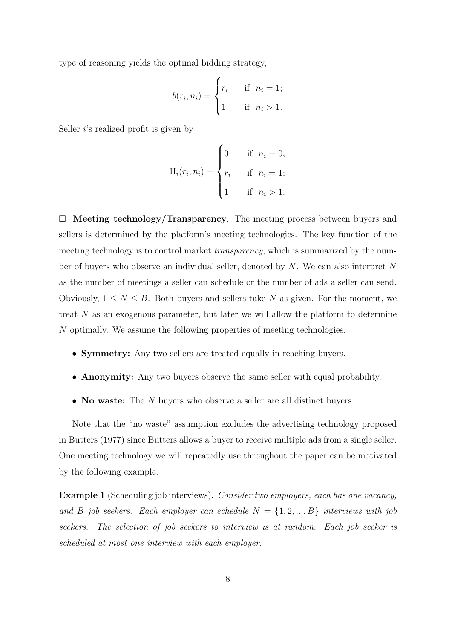type of reasoning yields the optimal bidding strategy,

$$
b(r_i, n_i) = \begin{cases} r_i & \text{if } n_i = 1; \\ 1 & \text{if } n_i > 1. \end{cases}
$$

Seller *i*'s realized profit is given by

$$
\Pi_i(r_i, n_i) = \begin{cases} 0 & \text{if } n_i = 0; \\ r_i & \text{if } n_i = 1; \\ 1 & \text{if } n_i > 1. \end{cases}
$$

 $\Box$  Meeting technology/Transparency. The meeting process between buyers and sellers is determined by the platform's meeting technologies. The key function of the meeting technology is to control market transparency, which is summarized by the number of buyers who observe an individual seller, denoted by N. We can also interpret N as the number of meetings a seller can schedule or the number of ads a seller can send. Obviously,  $1 \leq N \leq B$ . Both buyers and sellers take N as given. For the moment, we treat  $N$  as an exogenous parameter, but later we will allow the platform to determine N optimally. We assume the following properties of meeting technologies.

- Symmetry: Any two sellers are treated equally in reaching buyers.
- Anonymity: Any two buyers observe the same seller with equal probability.
- No waste: The N buyers who observe a seller are all distinct buyers.

Note that the "no waste" assumption excludes the advertising technology proposed in Butters (1977) since Butters allows a buyer to receive multiple ads from a single seller. One meeting technology we will repeatedly use throughout the paper can be motivated by the following example.

Example 1 (Scheduling job interviews). Consider two employers, each has one vacancy, and B job seekers. Each employer can schedule  $N = \{1, 2, ..., B\}$  interviews with job seekers. The selection of job seekers to interview is at random. Each job seeker is scheduled at most one interview with each employer.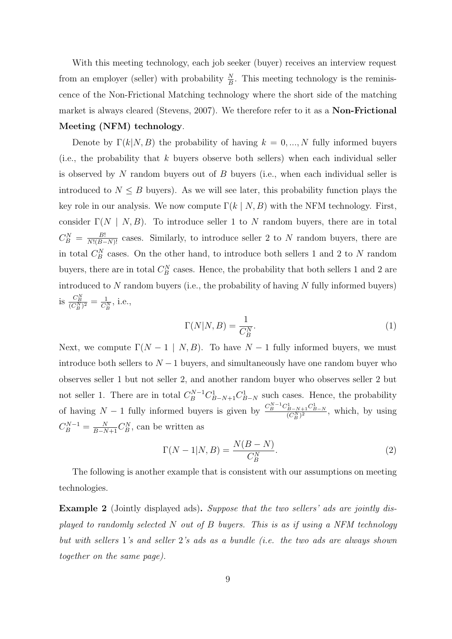With this meeting technology, each job seeker (buyer) receives an interview request from an employer (seller) with probability  $\frac{N}{B}$ . This meeting technology is the reminiscence of the Non-Frictional Matching technology where the short side of the matching market is always cleared (Stevens, 2007). We therefore refer to it as a Non-Frictional Meeting (NFM) technology.

Denote by  $\Gamma(k|N, B)$  the probability of having  $k = 0, ..., N$  fully informed buyers (i.e., the probability that  $k$  buyers observe both sellers) when each individual seller is observed by  $N$  random buyers out of  $B$  buyers (i.e., when each individual seller is introduced to  $N \leq B$  buyers). As we will see later, this probability function plays the key role in our analysis. We now compute  $\Gamma(k | N, B)$  with the NFM technology. First, consider  $\Gamma(N \mid N, B)$ . To introduce seller 1 to N random buyers, there are in total  $C_B^N = \frac{B!}{N!(B-N)!}$  cases. Similarly, to introduce seller 2 to N random buyers, there are in total  $C_B^N$  cases. On the other hand, to introduce both sellers 1 and 2 to N random buyers, there are in total  $C_B^N$  cases. Hence, the probability that both sellers 1 and 2 are introduced to  $N$  random buyers (i.e., the probability of having  $N$  fully informed buyers) is  $\frac{C_B^N}{(C_B^N)^2} = \frac{1}{C_B^N}$  $\frac{1}{C_B^N}$ , i.e.,

$$
\Gamma(N|N,B) = \frac{1}{C_B^N}.\tag{1}
$$

Next, we compute  $\Gamma(N-1 | N, B)$ . To have  $N-1$  fully informed buyers, we must introduce both sellers to  $N-1$  buyers, and simultaneously have one random buyer who observes seller 1 but not seller 2, and another random buyer who observes seller 2 but not seller 1. There are in total  $C_B^{N-1}C_{B-N+1}^1C_{B-N}^1$  such cases. Hence, the probability of having  $N-1$  fully informed buyers is given by  $\frac{C_B^{N-1}C_{B-N+1}^1C_{B-N}^1}{(C_B^N)^2}$ , which, by using  $C_B^{N-1} = \frac{N}{B-N+1} C_B^N$ , can be written as

$$
\Gamma(N-1|N,B) = \frac{N(B-N)}{C_B^N}.\tag{2}
$$

The following is another example that is consistent with our assumptions on meeting technologies.

Example 2 (Jointly displayed ads). Suppose that the two sellers' ads are jointly displayed to randomly selected N out of B buyers. This is as if using a NFM technology but with sellers 1's and seller 2's ads as a bundle (i.e. the two ads are always shown together on the same page).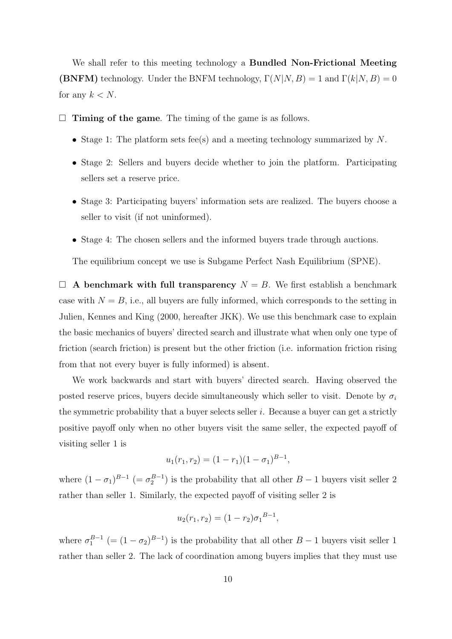We shall refer to this meeting technology a **Bundled Non-Frictional Meeting (BNFM)** technology. Under the BNFM technology,  $\Gamma(N|N, B) = 1$  and  $\Gamma(k|N, B) = 0$ for any  $k < N$ .

- $\Box$  Timing of the game. The timing of the game is as follows.
	- Stage 1: The platform sets fee(s) and a meeting technology summarized by  $N$ .
	- Stage 2: Sellers and buyers decide whether to join the platform. Participating sellers set a reserve price.
	- Stage 3: Participating buyers' information sets are realized. The buyers choose a seller to visit (if not uninformed).
	- Stage 4: The chosen sellers and the informed buyers trade through auctions.

The equilibrium concept we use is Subgame Perfect Nash Equilibrium (SPNE).

 $\Box$  A benchmark with full transparency  $N = B$ . We first establish a benchmark case with  $N = B$ , i.e., all buyers are fully informed, which corresponds to the setting in Julien, Kennes and King (2000, hereafter JKK). We use this benchmark case to explain the basic mechanics of buyers' directed search and illustrate what when only one type of friction (search friction) is present but the other friction (i.e. information friction rising from that not every buyer is fully informed) is absent.

We work backwards and start with buyers' directed search. Having observed the posted reserve prices, buyers decide simultaneously which seller to visit. Denote by  $\sigma_i$ the symmetric probability that a buyer selects seller  $i$ . Because a buyer can get a strictly positive payoff only when no other buyers visit the same seller, the expected payoff of visiting seller 1 is

$$
u_1(r_1, r_2) = (1 - r_1)(1 - \sigma_1)^{B - 1},
$$

where  $(1 - \sigma_1)^{B-1}$  (=  $\sigma_2^{B-1}$ ) is the probability that all other  $B-1$  buyers visit seller 2 rather than seller 1. Similarly, the expected payoff of visiting seller 2 is

$$
u_2(r_1,r_2)=(1-r_2)\sigma_1^{B-1},
$$

where  $\sigma_1^{B-1}$  (=  $(1 - \sigma_2)^{B-1}$ ) is the probability that all other  $B-1$  buyers visit seller 1 rather than seller 2. The lack of coordination among buyers implies that they must use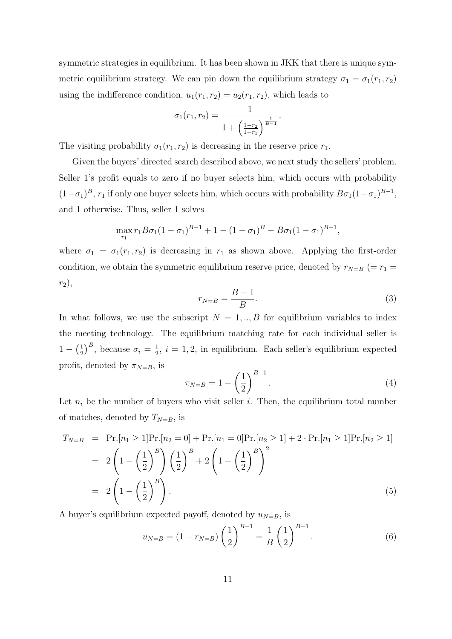symmetric strategies in equilibrium. It has been shown in JKK that there is unique symmetric equilibrium strategy. We can pin down the equilibrium strategy  $\sigma_1 = \sigma_1(r_1, r_2)$ using the indifference condition,  $u_1(r_1, r_2) = u_2(r_1, r_2)$ , which leads to

$$
\sigma_1(r_1, r_2) = \frac{1}{1 + \left(\frac{1 - r_2}{1 - r_1}\right)^{\frac{1}{B - 1}}}.
$$

The visiting probability  $\sigma_1(r_1, r_2)$  is decreasing in the reserve price  $r_1$ .

Given the buyers' directed search described above, we next study the sellers' problem. Seller 1's profit equals to zero if no buyer selects him, which occurs with probability  $(1-\sigma_1)^B$ ,  $r_1$  if only one buyer selects him, which occurs with probability  $B\sigma_1(1-\sigma_1)^{B-1}$ , and 1 otherwise. Thus, seller 1 solves

$$
\max_{r_1} r_1 B \sigma_1 (1 - \sigma_1)^{B-1} + 1 - (1 - \sigma_1)^B - B \sigma_1 (1 - \sigma_1)^{B-1},
$$

where  $\sigma_1 = \sigma_1(r_1, r_2)$  is decreasing in  $r_1$  as shown above. Applying the first-order condition, we obtain the symmetric equilibrium reserve price, denoted by  $r_{N=B}$  (=  $r_1$  =  $r_2$ ),

$$
r_{N=B} = \frac{B-1}{B}.\tag{3}
$$

In what follows, we use the subscript  $N = 1, \ldots, B$  for equilibrium variables to index the meeting technology. The equilibrium matching rate for each individual seller is  $1 - (\frac{1}{2})$  $(\frac{1}{2})^B$ , because  $\sigma_i = \frac{1}{2}$  $\frac{1}{2}$ ,  $i = 1, 2$ , in equilibrium. Each seller's equilibrium expected profit, denoted by  $\pi_{N=B}$ , is

$$
\pi_{N=B} = 1 - \left(\frac{1}{2}\right)^{B-1}.\tag{4}
$$

Let  $n_i$  be the number of buyers who visit seller i. Then, the equilibrium total number of matches, denoted by  $T_{N=B}$ , is

$$
T_{N=B} = \Pr.[n_1 \ge 1] \Pr.[n_2 = 0] + \Pr.[n_1 = 0] \Pr.[n_2 \ge 1] + 2 \cdot \Pr.[n_1 \ge 1] \Pr.[n_2 \ge 1]
$$
  
=  $2 \left( 1 - \left(\frac{1}{2}\right)^B \right) \left(\frac{1}{2}\right)^B + 2 \left( 1 - \left(\frac{1}{2}\right)^B \right)^2$   
=  $2 \left( 1 - \left(\frac{1}{2}\right)^B \right).$  (5)

A buyer's equilibrium expected payoff, denoted by  $u_{N=B}$ , is

$$
u_{N=B} = (1 - r_{N=B}) \left(\frac{1}{2}\right)^{B-1} = \frac{1}{B} \left(\frac{1}{2}\right)^{B-1}.
$$
 (6)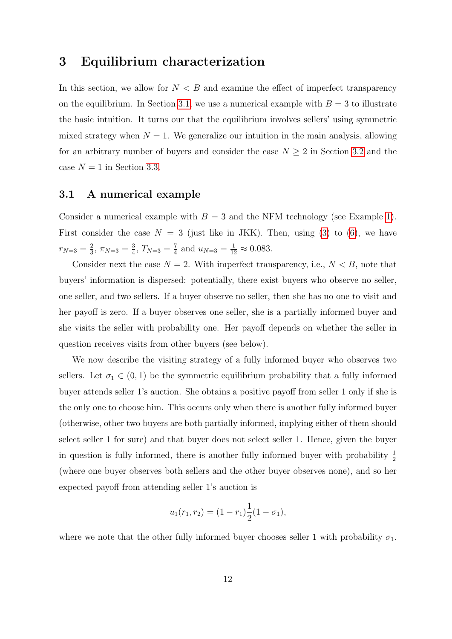### 3 Equilibrium characterization

In this section, we allow for  $N < B$  and examine the effect of imperfect transparency on the equilibrium. In Section 3.1, we use a numerical example with  $B = 3$  to illustrate the basic intuition. It turns our that the equilibrium involves sellers' using symmetric mixed strategy when  $N = 1$ . We generalize our intuition in the main analysis, allowing for an arbitrary number of buyers and consider the case  $N \geq 2$  in Section 3.2 and the case  $N = 1$  in Section 3.3.

### 3.1 A numerical example

Consider a numerical example with  $B = 3$  and the NFM technology (see Example 1). First consider the case  $N = 3$  (just like in JKK). Then, using (3) to (6), we have  $r_{N=3}=\frac{2}{3}$  $\frac{2}{3}$ ,  $\pi_{N=3} = \frac{3}{4}$  $\frac{3}{4}$ ,  $T_{N=3} = \frac{7}{4}$  $\frac{7}{4}$  and  $u_{N=3} = \frac{1}{12} \approx 0.083$ .

Consider next the case  $N = 2$ . With imperfect transparency, i.e.,  $N < B$ , note that buyers' information is dispersed: potentially, there exist buyers who observe no seller, one seller, and two sellers. If a buyer observe no seller, then she has no one to visit and her payoff is zero. If a buyer observes one seller, she is a partially informed buyer and she visits the seller with probability one. Her payoff depends on whether the seller in question receives visits from other buyers (see below).

We now describe the visiting strategy of a fully informed buyer who observes two sellers. Let  $\sigma_1 \in (0,1)$  be the symmetric equilibrium probability that a fully informed buyer attends seller 1's auction. She obtains a positive payoff from seller 1 only if she is the only one to choose him. This occurs only when there is another fully informed buyer (otherwise, other two buyers are both partially informed, implying either of them should select seller 1 for sure) and that buyer does not select seller 1. Hence, given the buyer in question is fully informed, there is another fully informed buyer with probability  $\frac{1}{2}$ (where one buyer observes both sellers and the other buyer observes none), and so her expected payoff from attending seller 1's auction is

$$
u_1(r_1, r_2) = (1 - r_1)\frac{1}{2}(1 - \sigma_1),
$$

where we note that the other fully informed buyer chooses seller 1 with probability  $\sigma_1$ .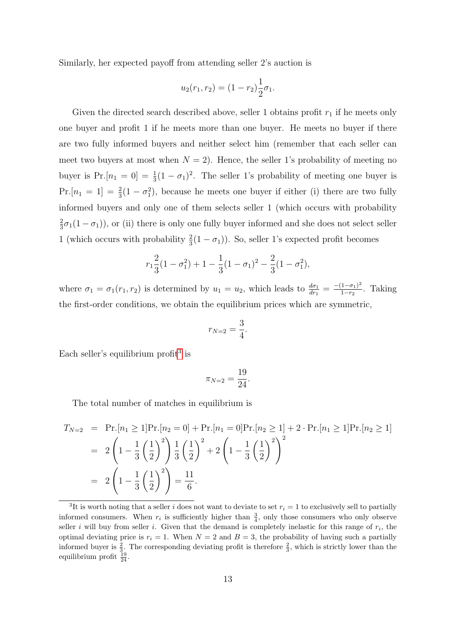Similarly, her expected payoff from attending seller 2's auction is

$$
u_2(r_1, r_2) = (1 - r_2) \frac{1}{2} \sigma_1.
$$

Given the directed search described above, seller 1 obtains profit  $r_1$  if he meets only one buyer and profit 1 if he meets more than one buyer. He meets no buyer if there are two fully informed buyers and neither select him (remember that each seller can meet two buyers at most when  $N = 2$ ). Hence, the seller 1's probability of meeting no buyer is  $Pr.[n_1 = 0] = \frac{1}{3}(1 - \sigma_1)^2$ . The seller 1's probability of meeting one buyer is Pr.  $[n_1 = 1] = \frac{2}{3}(1 - \sigma_1^2)$ , because he meets one buyer if either (i) there are two fully informed buyers and only one of them selects seller 1 (which occurs with probability 2  $\frac{2}{3}\sigma_1(1-\sigma_1)$ , or (ii) there is only one fully buyer informed and she does not select seller 1 (which occurs with probability  $\frac{2}{3}(1-\sigma_1)$ ). So, seller 1's expected profit becomes

$$
r_1 \frac{2}{3} (1 - \sigma_1^2) + 1 - \frac{1}{3} (1 - \sigma_1)^2 - \frac{2}{3} (1 - \sigma_1^2),
$$

where  $\sigma_1 = \sigma_1(r_1, r_2)$  is determined by  $u_1 = u_2$ , which leads to  $\frac{d\sigma_1}{dr_1} = \frac{-(1-\sigma_1)^2}{1-r_2}$  $\frac{1-\sigma_1}{1-r_2}$ . Taking the first-order conditions, we obtain the equilibrium prices which are symmetric,

$$
r_{N=2} = \frac{3}{4}.
$$

Each seller's equilibrium profit<sup>3</sup> is

$$
\pi_{N=2} = \frac{19}{24}.
$$

The total number of matches in equilibrium is

$$
T_{N=2} = \Pr.[n_1 \ge 1]\Pr.[n_2 = 0] + \Pr.[n_1 = 0]\Pr.[n_2 \ge 1] + 2 \cdot \Pr.[n_1 \ge 1]\Pr.[n_2 \ge 1]
$$
  
=  $2\left(1 - \frac{1}{3}\left(\frac{1}{2}\right)^2\right) \frac{1}{3}\left(\frac{1}{2}\right)^2 + 2\left(1 - \frac{1}{3}\left(\frac{1}{2}\right)^2\right)^2$   
=  $2\left(1 - \frac{1}{3}\left(\frac{1}{2}\right)^2\right) = \frac{11}{6}.$ 

<sup>&</sup>lt;sup>3</sup>It is worth noting that a seller *i* does not want to deviate to set  $r_i = 1$  to exclusively sell to partially informed consumers. When  $r_i$  is sufficiently higher than  $\frac{3}{4}$ , only those consumers who only observe seller i will buy from seller i. Given that the demand is completely inelastic for this range of  $r_i$ , the optimal deviating price is  $r_i = 1$ . When  $N = 2$  and  $B = 3$ , the probability of having such a partially informed buyer is  $\frac{2}{3}$ . The corresponding deviating profit is therefore  $\frac{2}{3}$ , which is strictly lower than the equilibrium profit  $\frac{19}{24}$ .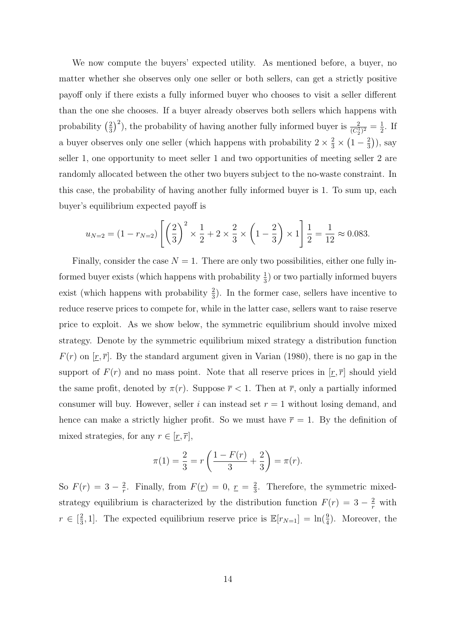We now compute the buyers' expected utility. As mentioned before, a buyer, no matter whether she observes only one seller or both sellers, can get a strictly positive payoff only if there exists a fully informed buyer who chooses to visit a seller different than the one she chooses. If a buyer already observes both sellers which happens with probability  $\left(\frac{2}{3}\right)$  $(\frac{2}{3})^2$ ), the probability of having another fully informed buyer is  $\frac{2}{(C_2^1)^2} = \frac{1}{2}$  $\frac{1}{2}$ . If a buyer observes only one seller (which happens with probability  $2 \times \frac{2}{3} \times \left(1 - \frac{2}{3}\right)$  $(\frac{2}{3})$ , say seller 1, one opportunity to meet seller 1 and two opportunities of meeting seller 2 are randomly allocated between the other two buyers subject to the no-waste constraint. In this case, the probability of having another fully informed buyer is 1. To sum up, each buyer's equilibrium expected payoff is

$$
u_{N=2} = (1 - r_{N=2}) \left[ \left( \frac{2}{3} \right)^2 \times \frac{1}{2} + 2 \times \frac{2}{3} \times \left( 1 - \frac{2}{3} \right) \times 1 \right] \frac{1}{2} = \frac{1}{12} \approx 0.083.
$$

Finally, consider the case  $N = 1$ . There are only two possibilities, either one fully informed buyer exists (which happens with probability  $\frac{1}{3}$ ) or two partially informed buyers exist (which happens with probability  $\frac{2}{3}$ ). In the former case, sellers have incentive to reduce reserve prices to compete for, while in the latter case, sellers want to raise reserve price to exploit. As we show below, the symmetric equilibrium should involve mixed strategy. Denote by the symmetric equilibrium mixed strategy a distribution function  $F(r)$  on  $[\underline{r}, \overline{r}]$ . By the standard argument given in Varian (1980), there is no gap in the support of  $F(r)$  and no mass point. Note that all reserve prices in  $[\underline{r}, \overline{r}]$  should yield the same profit, denoted by  $\pi(r)$ . Suppose  $\bar{r}$  < 1. Then at  $\bar{r}$ , only a partially informed consumer will buy. However, seller i can instead set  $r = 1$  without losing demand, and hence can make a strictly higher profit. So we must have  $\bar{r} = 1$ . By the definition of mixed strategies, for any  $r \in [\underline{r}, \overline{r}],$ 

$$
\pi(1) = \frac{2}{3} = r\left(\frac{1 - F(r)}{3} + \frac{2}{3}\right) = \pi(r).
$$

So  $F(r) = 3 - \frac{2}{r}$  $\frac{2}{r}$ . Finally, from  $F(\underline{r}) = 0$ ,  $\underline{r} = \frac{2}{3}$  $\frac{2}{3}$ . Therefore, the symmetric mixedstrategy equilibrium is characterized by the distribution function  $F(r) = 3 - \frac{2}{r}$  with  $r \in \lceil \frac{2}{3} \rceil$  $\frac{2}{3}$ , 1]. The expected equilibrium reserve price is  $\mathbb{E}[r_{N=1}] = \ln(\frac{9}{4})$ . Moreover, the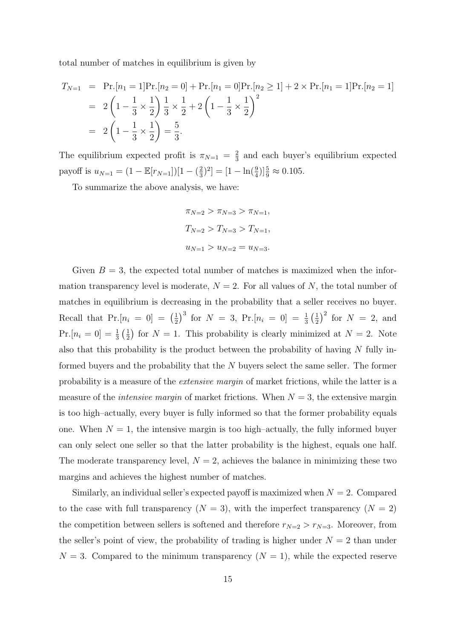total number of matches in equilibrium is given by

$$
T_{N=1} = \Pr.[n_1 = 1]\Pr.[n_2 = 0] + \Pr.[n_1 = 0]\Pr.[n_2 \ge 1] + 2 \times \Pr.[n_1 = 1]\Pr.[n_2 = 1]
$$
  
=  $2\left(1 - \frac{1}{3} \times \frac{1}{2}\right) \frac{1}{3} \times \frac{1}{2} + 2\left(1 - \frac{1}{3} \times \frac{1}{2}\right)^2$   
=  $2\left(1 - \frac{1}{3} \times \frac{1}{2}\right) = \frac{5}{3}.$ 

The equilibrium expected profit is  $\pi_{N=1} = \frac{2}{3}$  $\frac{2}{3}$  and each buyer's equilibrium expected payoff is  $u_{N=1} = (1 - \mathbb{E}[r_{N=1}])[1 - (\frac{2}{3})$  $\left[\frac{2}{3}\right]^2$  =  $\left[1 - \ln\left(\frac{9}{4}\right)\right]\frac{5}{9} \approx 0.105$ .

To summarize the above analysis, we have:

$$
\pi_{N=2} > \pi_{N=3} > \pi_{N=1},
$$
  
\n
$$
T_{N=2} > T_{N=3} > T_{N=1},
$$
  
\n
$$
u_{N=1} > u_{N=2} = u_{N=3}.
$$

Given  $B = 3$ , the expected total number of matches is maximized when the information transparency level is moderate,  $N = 2$ . For all values of N, the total number of matches in equilibrium is decreasing in the probability that a seller receives no buyer. Recall that  $Pr.[n_i = 0] = \left(\frac{1}{2}\right)$  $\frac{1}{2}$ )<sup>3</sup> for  $N = 3$ , Pr.  $[n_i = 0] = \frac{1}{3}(\frac{1}{2})$  $(\frac{1}{2})^2$  for  $N = 2$ , and  $Pr.[n_i = 0] = \frac{1}{3}(\frac{1}{2})$  $\frac{1}{2}$  for  $N = 1$ . This probability is clearly minimized at  $N = 2$ . Note also that this probability is the product between the probability of having  $N$  fully informed buyers and the probability that the N buyers select the same seller. The former probability is a measure of the extensive margin of market frictions, while the latter is a measure of the *intensive margin* of market frictions. When  $N = 3$ , the extensive margin is too high–actually, every buyer is fully informed so that the former probability equals one. When  $N = 1$ , the intensive margin is too high–actually, the fully informed buyer can only select one seller so that the latter probability is the highest, equals one half. The moderate transparency level,  $N = 2$ , achieves the balance in minimizing these two margins and achieves the highest number of matches.

Similarly, an individual seller's expected payoff is maximized when  $N = 2$ . Compared to the case with full transparency  $(N = 3)$ , with the imperfect transparency  $(N = 2)$ the competition between sellers is softened and therefore  $r_{N=2} > r_{N=3}$ . Moreover, from the seller's point of view, the probability of trading is higher under  $N = 2$  than under  $N = 3$ . Compared to the minimum transparency  $(N = 1)$ , while the expected reserve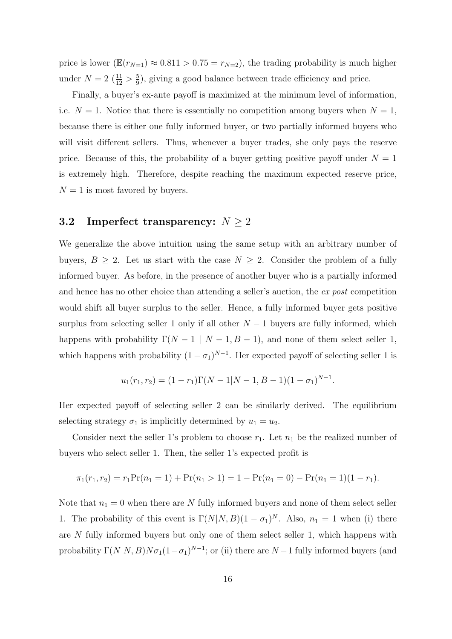price is lower  $(\mathbb{E}(r_{N=1}) \approx 0.811 > 0.75 = r_{N=2})$ , the trading probability is much higher under  $N = 2 \left( \frac{11}{12} > \frac{5}{9} \right)$  $\frac{5}{9}$ , giving a good balance between trade efficiency and price.

Finally, a buyer's ex-ante payoff is maximized at the minimum level of information, i.e.  $N = 1$ . Notice that there is essentially no competition among buyers when  $N = 1$ , because there is either one fully informed buyer, or two partially informed buyers who will visit different sellers. Thus, whenever a buyer trades, she only pays the reserve price. Because of this, the probability of a buyer getting positive payoff under  $N = 1$ is extremely high. Therefore, despite reaching the maximum expected reserve price,  $N = 1$  is most favored by buyers.

### 3.2 Imperfect transparency:  $N \geq 2$

We generalize the above intuition using the same setup with an arbitrary number of buyers,  $B \geq 2$ . Let us start with the case  $N \geq 2$ . Consider the problem of a fully informed buyer. As before, in the presence of another buyer who is a partially informed and hence has no other choice than attending a seller's auction, the ex post competition would shift all buyer surplus to the seller. Hence, a fully informed buyer gets positive surplus from selecting seller 1 only if all other  $N-1$  buyers are fully informed, which happens with probability  $\Gamma(N-1 | N-1, B-1)$ , and none of them select seller 1, which happens with probability  $(1 - \sigma_1)^{N-1}$ . Her expected payoff of selecting seller 1 is

$$
u_1(r_1, r_2) = (1 - r_1)\Gamma(N - 1|N - 1, B - 1)(1 - \sigma_1)^{N - 1}.
$$

Her expected payoff of selecting seller 2 can be similarly derived. The equilibrium selecting strategy  $\sigma_1$  is implicitly determined by  $u_1 = u_2$ .

Consider next the seller 1's problem to choose  $r_1$ . Let  $n_1$  be the realized number of buyers who select seller 1. Then, the seller 1's expected profit is

$$
\pi_1(r_1, r_2) = r_1 \Pr(n_1 = 1) + \Pr(n_1 > 1) = 1 - \Pr(n_1 = 0) - \Pr(n_1 = 1)(1 - r_1).
$$

Note that  $n_1 = 0$  when there are N fully informed buyers and none of them select seller 1. The probability of this event is  $\Gamma(N|N, B)(1-\sigma_1)^N$ . Also,  $n_1 = 1$  when (i) there are N fully informed buyers but only one of them select seller 1, which happens with probability  $\Gamma(N|N, B)N\sigma_1(1-\sigma_1)^{N-1}$ ; or (ii) there are  $N-1$  fully informed buyers (and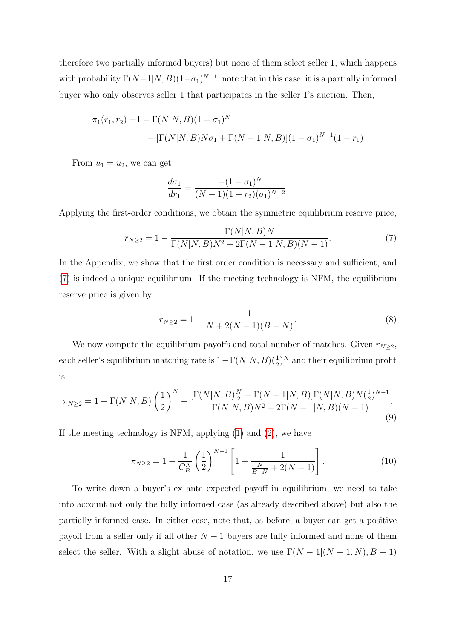therefore two partially informed buyers) but none of them select seller 1, which happens with probability  $\Gamma(N-1|N, B)(1-\sigma_1)^{N-1}$ -note that in this case, it is a partially informed buyer who only observes seller 1 that participates in the seller 1's auction. Then,

$$
\pi_1(r_1, r_2) = 1 - \Gamma(N|N, B)(1 - \sigma_1)^N
$$
  
- [\Gamma(N|N, B)N\sigma\_1 + \Gamma(N - 1|N, B)](1 - \sigma\_1)^{N-1}(1 - r\_1)

From  $u_1 = u_2$ , we can get

$$
\frac{d\sigma_1}{dr_1} = \frac{-(1-\sigma_1)^N}{(N-1)(1-r_2)(\sigma_1)^{N-2}}.
$$

Applying the first-order conditions, we obtain the symmetric equilibrium reserve price,

$$
r_{N\geq 2} = 1 - \frac{\Gamma(N|N,B)N}{\Gamma(N|N,B)N^2 + 2\Gamma(N-1|N,B)(N-1)}.\tag{7}
$$

In the Appendix, we show that the first order condition is necessary and sufficient, and (7) is indeed a unique equilibrium. If the meeting technology is NFM, the equilibrium reserve price is given by

$$
r_{N\geq 2} = 1 - \frac{1}{N + 2(N - 1)(B - N)}.\tag{8}
$$

We now compute the equilibrium payoffs and total number of matches. Given  $r_{N\geq2}$ , each seller's equilibrium matching rate is  $1-\Gamma(N|N, B)(\frac{1}{2})^N$  and their equilibrium profit is

$$
\pi_{N\geq 2} = 1 - \Gamma(N|N,B) \left(\frac{1}{2}\right)^N - \frac{\left[\Gamma(N|N,B)\frac{N}{2} + \Gamma(N-1|N,B)\right]\Gamma(N|N,B)N(\frac{1}{2})^{N-1}}{\Gamma(N|N,B)N^2 + 2\Gamma(N-1|N,B)(N-1)}.
$$
\n(9)

If the meeting technology is NFM, applying (1) and (2), we have

$$
\pi_{N\geq 2} = 1 - \frac{1}{C_B^N} \left(\frac{1}{2}\right)^{N-1} \left[1 + \frac{1}{\frac{N}{B-N} + 2(N-1)}\right].
$$
\n(10)

To write down a buyer's ex ante expected payoff in equilibrium, we need to take into account not only the fully informed case (as already described above) but also the partially informed case. In either case, note that, as before, a buyer can get a positive payoff from a seller only if all other  $N-1$  buyers are fully informed and none of them select the seller. With a slight abuse of notation, we use  $\Gamma(N-1|(N-1,N), B-1)$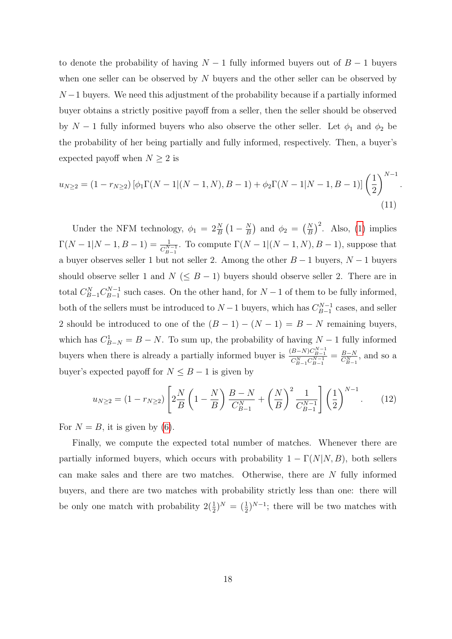to denote the probability of having  $N-1$  fully informed buyers out of  $B-1$  buyers when one seller can be observed by N buyers and the other seller can be observed by  $N-1$  buyers. We need this adjustment of the probability because if a partially informed buyer obtains a strictly positive payoff from a seller, then the seller should be observed by  $N-1$  fully informed buyers who also observe the other seller. Let  $\phi_1$  and  $\phi_2$  be the probability of her being partially and fully informed, respectively. Then, a buyer's expected payoff when  $N \geq 2$  is

$$
u_{N\geq 2} = (1 - r_{N\geq 2}) \left[ \phi_1 \Gamma(N-1|(N-1,N), B-1) + \phi_2 \Gamma(N-1|N-1, B-1) \right] \left( \frac{1}{2} \right)^{N-1}
$$
\n(11)

.

Under the NFM technology,  $\phi_1 = 2\frac{N}{B} \left(1 - \frac{N}{B}\right)$  $\left(\frac{N}{B}\right)$  and  $\phi_2 = \left(\frac{N}{B}\right)^2$ . Also, (1) implies  $\Gamma(N-1|N-1, B-1) = \frac{1}{C_{B-1}^{N-1}}$ . To compute  $\Gamma(N-1|(N-1, N), B-1)$ , suppose that a buyer observes seller 1 but not seller 2. Among the other  $B-1$  buyers,  $N-1$  buyers should observe seller 1 and  $N \leq B-1$ ) buyers should observe seller 2. There are in total  $C_{B-1}^N C_{B-1}^{N-1}$  $B_{B-1}^{N-1}$  such cases. On the other hand, for  $N-1$  of them to be fully informed, both of the sellers must be introduced to  $N-1$  buyers, which has  $C_{B-1}^{N-1}$  $\frac{B-1}{B-1}$  cases, and seller 2 should be introduced to one of the  $(B - 1) - (N - 1) = B - N$  remaining buyers, which has  $C_{B-N}^1 = B - N$ . To sum up, the probability of having  $N-1$  fully informed buyers when there is already a partially informed buyer is  $\frac{(B-N)C_{B-1}^{N-1}}{C_{B-1}^N C_{B-1}^{N-1}} = \frac{B-N}{C_{B-1}^N}$  $\frac{B-N}{C_{B-1}^N}$ , and so a buyer's expected payoff for  $N \leq B - 1$  is given by

$$
u_{N\geq 2} = (1 - r_{N\geq 2}) \left[ 2\frac{N}{B} \left( 1 - \frac{N}{B} \right) \frac{B - N}{C_{B-1}^{N}} + \left( \frac{N}{B} \right)^2 \frac{1}{C_{B-1}^{N-1}} \right] \left( \frac{1}{2} \right)^{N-1} . \tag{12}
$$

For  $N = B$ , it is given by (6).

Finally, we compute the expected total number of matches. Whenever there are partially informed buyers, which occurs with probability  $1 - \Gamma(N|N, B)$ , both sellers can make sales and there are two matches. Otherwise, there are N fully informed buyers, and there are two matches with probability strictly less than one: there will be only one match with probability  $2(\frac{1}{2})^N = (\frac{1}{2})^{N-1}$ ; there will be two matches with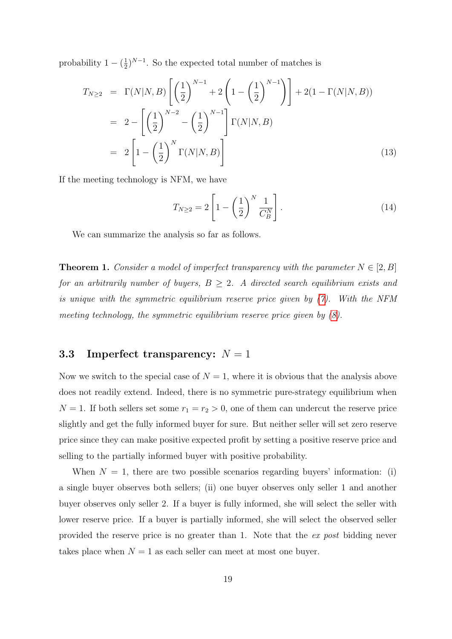probability  $1 - (\frac{1}{2})$  $\frac{1}{2}$ )<sup>N-1</sup>. So the expected total number of matches is

$$
T_{N\geq 2} = \Gamma(N|N, B) \left[ \left( \frac{1}{2} \right)^{N-1} + 2 \left( 1 - \left( \frac{1}{2} \right)^{N-1} \right) \right] + 2(1 - \Gamma(N|N, B))
$$
  
=  $2 - \left[ \left( \frac{1}{2} \right)^{N-2} - \left( \frac{1}{2} \right)^{N-1} \right] \Gamma(N|N, B)$   
=  $2 \left[ 1 - \left( \frac{1}{2} \right)^N \Gamma(N|N, B) \right]$  (13)

If the meeting technology is NFM, we have

$$
T_{N\geq 2} = 2\left[1 - \left(\frac{1}{2}\right)^N \frac{1}{C_B^N}\right].\tag{14}
$$

We can summarize the analysis so far as follows.

**Theorem 1.** Consider a model of imperfect transparency with the parameter  $N \in [2, B]$ for an arbitrarily number of buyers,  $B \geq 2$ . A directed search equilibrium exists and is unique with the symmetric equilibrium reserve price given by (7). With the NFM meeting technology, the symmetric equilibrium reserve price given by  $(8)$ .

### 3.3 Imperfect transparency:  $N = 1$

Now we switch to the special case of  $N = 1$ , where it is obvious that the analysis above does not readily extend. Indeed, there is no symmetric pure-strategy equilibrium when  $N = 1$ . If both sellers set some  $r_1 = r_2 > 0$ , one of them can undercut the reserve price slightly and get the fully informed buyer for sure. But neither seller will set zero reserve price since they can make positive expected profit by setting a positive reserve price and selling to the partially informed buyer with positive probability.

When  $N = 1$ , there are two possible scenarios regarding buyers' information: (i) a single buyer observes both sellers; (ii) one buyer observes only seller 1 and another buyer observes only seller 2. If a buyer is fully informed, she will select the seller with lower reserve price. If a buyer is partially informed, she will select the observed seller provided the reserve price is no greater than 1. Note that the ex post bidding never takes place when  $N = 1$  as each seller can meet at most one buyer.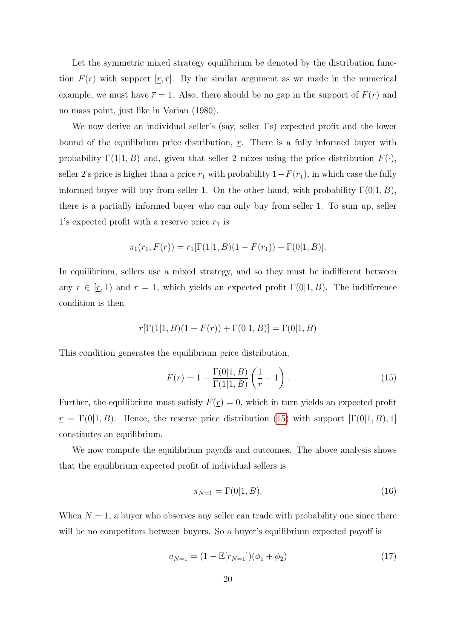Let the symmetric mixed strategy equilibrium be denoted by the distribution function  $F(r)$  with support  $[r, \bar{r}]$ . By the similar argument as we made in the numerical example, we must have  $\bar{r} = 1$ . Also, there should be no gap in the support of  $F(r)$  and no mass point, just like in Varian (1980).

We now derive an individual seller's (say, seller 1's) expected profit and the lower bound of the equilibrium price distribution,  $r$ . There is a fully informed buyer with probability  $\Gamma(1|1, B)$  and, given that seller 2 mixes using the price distribution  $F(\cdot)$ , seller 2's price is higher than a price  $r_1$  with probability  $1-F(r_1)$ , in which case the fully informed buyer will buy from seller 1. On the other hand, with probability  $\Gamma(0|1, B)$ , there is a partially informed buyer who can only buy from seller 1. To sum up, seller 1's expected profit with a reserve price  $r_1$  is

$$
\pi_1(r_1, F(r)) = r_1[\Gamma(1|1, B)(1 - F(r_1)) + \Gamma(0|1, B)].
$$

In equilibrium, sellers use a mixed strategy, and so they must be indifferent between any  $r \in [r, 1]$  and  $r = 1$ , which yields an expected profit  $\Gamma(0|1, B)$ . The indifference condition is then

$$
r[\Gamma(1|1, B)(1 - F(r)) + \Gamma(0|1, B)] = \Gamma(0|1, B)
$$

This condition generates the equilibrium price distribution,

$$
F(r) = 1 - \frac{\Gamma(0|1, B)}{\Gamma(1|1, B)} \left(\frac{1}{r} - 1\right).
$$
 (15)

Further, the equilibrium must satisfy  $F(\underline{r}) = 0$ , which in turn yields an expected profit  $r = \Gamma(0|1, B)$ . Hence, the reserve price distribution (15) with support  $[\Gamma(0|1, B), 1]$ constitutes an equilibrium.

We now compute the equilibrium payoffs and outcomes. The above analysis shows that the equilibrium expected profit of individual sellers is

$$
\pi_{N=1} = \Gamma(0|1, B). \tag{16}
$$

When  $N = 1$ , a buyer who observes any seller can trade with probability one since there will be no competitors between buyers. So a buyer's equilibrium expected payoff is

$$
u_{N=1} = (1 - \mathbb{E}[r_{N=1}])(\phi_1 + \phi_2)
$$
\n(17)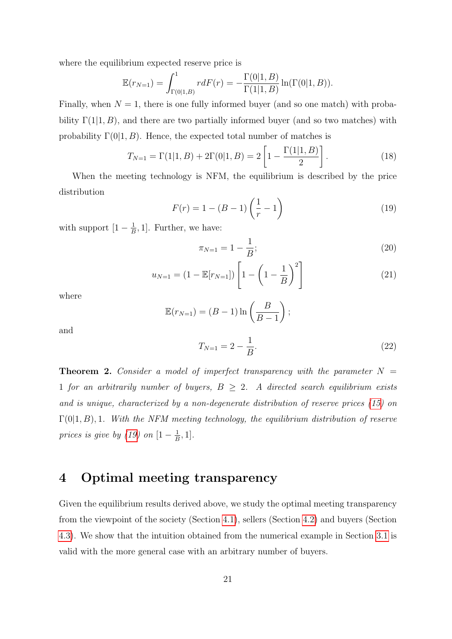where the equilibrium expected reserve price is

$$
\mathbb{E}(r_{N=1}) = \int_{\Gamma(0|1,B)}^1 r dF(r) = -\frac{\Gamma(0|1,B)}{\Gamma(1|1,B)} \ln(\Gamma(0|1,B)).
$$

Finally, when  $N = 1$ , there is one fully informed buyer (and so one match) with probability  $\Gamma(1|1, B)$ , and there are two partially informed buyer (and so two matches) with probability  $\Gamma(0|1, B)$ . Hence, the expected total number of matches is

$$
T_{N=1} = \Gamma(1|1, B) + 2\Gamma(0|1, B) = 2\left[1 - \frac{\Gamma(1|1, B)}{2}\right].
$$
 (18)

When the meeting technology is NFM, the equilibrium is described by the price distribution

$$
F(r) = 1 - (B - 1) \left(\frac{1}{r} - 1\right)
$$
 (19)

with support  $[1-\frac{1}{6}]$  $\frac{1}{B}$ , 1]. Further, we have:

$$
\pi_{N=1} = 1 - \frac{1}{B};\tag{20}
$$

$$
u_{N=1} = (1 - \mathbb{E}[r_{N=1}]) \left[ 1 - \left( 1 - \frac{1}{B} \right)^2 \right]
$$
 (21)

where

$$
\mathbb{E}(r_{N=1}) = (B-1)\ln\left(\frac{B}{B-1}\right);
$$

and

$$
T_{N=1} = 2 - \frac{1}{B}.\tag{22}
$$

**Theorem 2.** Consider a model of imperfect transparency with the parameter  $N =$ 1 for an arbitrarily number of buyers,  $B \geq 2$ . A directed search equilibrium exists and is unique, characterized by a non-degenerate distribution of reserve prices (15) on  $\Gamma(0|1, B)$ , 1. With the NFM meeting technology, the equilibrium distribution of reserve prices is give by (19) on  $[1-\frac{1}{5}]$  $\frac{1}{B}, 1].$ 

# 4 Optimal meeting transparency

Given the equilibrium results derived above, we study the optimal meeting transparency from the viewpoint of the society (Section 4.1), sellers (Section 4.2) and buyers (Section 4.3). We show that the intuition obtained from the numerical example in Section 3.1 is valid with the more general case with an arbitrary number of buyers.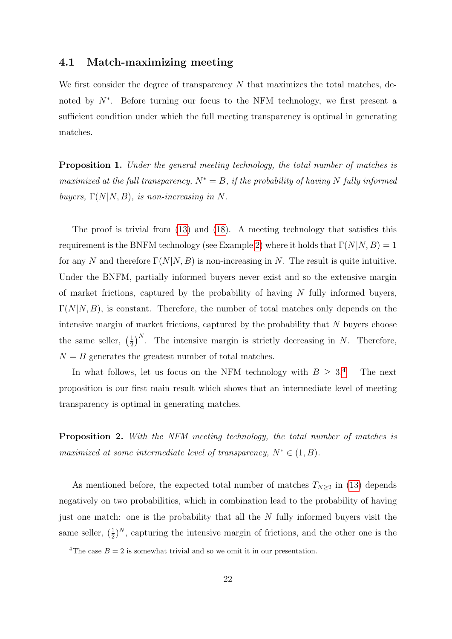### 4.1 Match-maximizing meeting

We first consider the degree of transparency  $N$  that maximizes the total matches, denoted by N<sup>∗</sup>. Before turning our focus to the NFM technology, we first present a sufficient condition under which the full meeting transparency is optimal in generating matches.

Proposition 1. Under the general meeting technology, the total number of matches is maximized at the full transparency,  $N^* = B$ , if the probability of having N fully informed buyers,  $\Gamma(N|N, B)$ , is non-increasing in N.

The proof is trivial from (13) and (18). A meeting technology that satisfies this requirement is the BNFM technology (see Example 2) where it holds that  $\Gamma(N|N, B) = 1$ for any N and therefore  $\Gamma(N|N, B)$  is non-increasing in N. The result is quite intuitive. Under the BNFM, partially informed buyers never exist and so the extensive margin of market frictions, captured by the probability of having  $N$  fully informed buyers,  $\Gamma(N|N, B)$ , is constant. Therefore, the number of total matches only depends on the intensive margin of market frictions, captured by the probability that  $N$  buyers choose the same seller,  $\left(\frac{1}{2}\right)$  $\frac{1}{2}$ <sup>N</sup>. The intensive margin is strictly decreasing in N. Therefore,  $N = B$  generates the greatest number of total matches.

In what follows, let us focus on the NFM technology with  $B \geq 3.4$  The next proposition is our first main result which shows that an intermediate level of meeting transparency is optimal in generating matches.

Proposition 2. With the NFM meeting technology, the total number of matches is maximized at some intermediate level of transparency,  $N^* \in (1, B)$ .

As mentioned before, the expected total number of matches  $T_{N\geq 2}$  in (13) depends negatively on two probabilities, which in combination lead to the probability of having just one match: one is the probability that all the  $N$  fully informed buyers visit the same seller,  $(\frac{1}{2})^N$ , capturing the intensive margin of frictions, and the other one is the

<sup>&</sup>lt;sup>4</sup>The case  $B = 2$  is somewhat trivial and so we omit it in our presentation.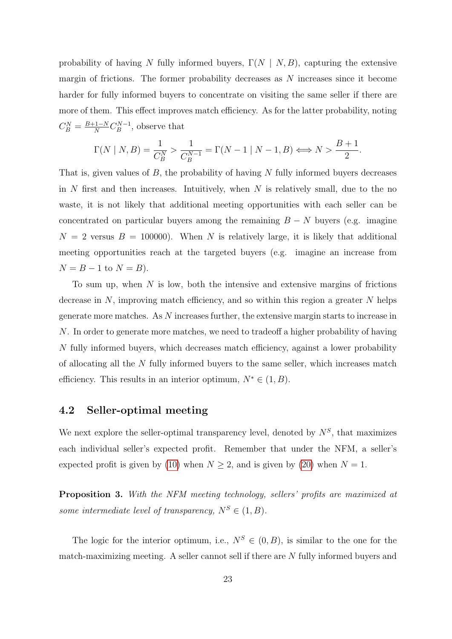probability of having N fully informed buyers,  $\Gamma(N \mid N, B)$ , capturing the extensive margin of frictions. The former probability decreases as  $N$  increases since it become harder for fully informed buyers to concentrate on visiting the same seller if there are more of them. This effect improves match efficiency. As for the latter probability, noting  $C_B^N = \frac{B+1-N}{N} C_B^{N-1}$  $B^{N-1}$ , observe that

$$
\Gamma(N \mid N, B) = \frac{1}{C_B^N} > \frac{1}{C_B^{N-1}} = \Gamma(N-1 \mid N-1, B) \Longleftrightarrow N > \frac{B+1}{2}.
$$

That is, given values of  $B$ , the probability of having  $N$  fully informed buyers decreases in N first and then increases. Intuitively, when N is relatively small, due to the no waste, it is not likely that additional meeting opportunities with each seller can be concentrated on particular buyers among the remaining  $B - N$  buyers (e.g. imagine  $N = 2$  versus  $B = 100000$ . When N is relatively large, it is likely that additional meeting opportunities reach at the targeted buyers (e.g. imagine an increase from  $N = B - 1$  to  $N = B$ ).

To sum up, when  $N$  is low, both the intensive and extensive margins of frictions decrease in  $N$ , improving match efficiency, and so within this region a greater  $N$  helps generate more matches. As N increases further, the extensive margin starts to increase in N. In order to generate more matches, we need to tradeoff a higher probability of having N fully informed buyers, which decreases match efficiency, against a lower probability of allocating all the N fully informed buyers to the same seller, which increases match efficiency. This results in an interior optimum,  $N^* \in (1, B)$ .

### 4.2 Seller-optimal meeting

We next explore the seller-optimal transparency level, denoted by  $N^S$ , that maximizes each individual seller's expected profit. Remember that under the NFM, a seller's expected profit is given by (10) when  $N \ge 2$ , and is given by (20) when  $N = 1$ .

Proposition 3. With the NFM meeting technology, sellers' profits are maximized at some intermediate level of transparency,  $N^S \in (1, B)$ .

The logic for the interior optimum, i.e.,  $N^S \in (0, B)$ , is similar to the one for the match-maximizing meeting. A seller cannot sell if there are N fully informed buyers and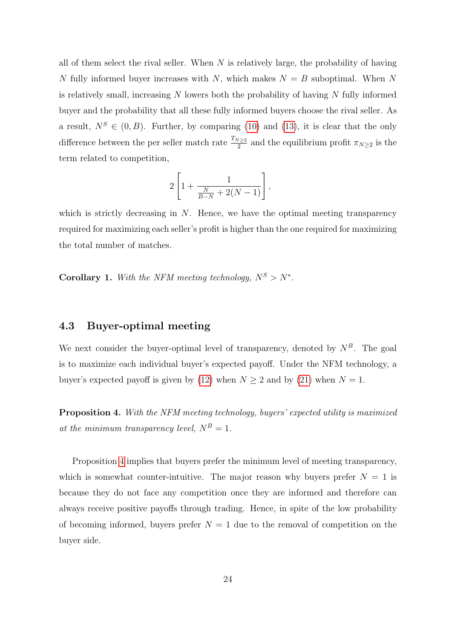all of them select the rival seller. When  $N$  is relatively large, the probability of having N fully informed buyer increases with N, which makes  $N = B$  suboptimal. When N is relatively small, increasing  $N$  lowers both the probability of having  $N$  fully informed buyer and the probability that all these fully informed buyers choose the rival seller. As a result,  $N^S \in (0, B)$ . Further, by comparing (10) and (13), it is clear that the only difference between the per seller match rate  $\frac{T_{N\geq 2}}{2}$  and the equilibrium profit  $\pi_{N\geq 2}$  is the term related to competition,

$$
2\left[1+\frac{1}{\frac{N}{B-N}+2(N-1)}\right],
$$

which is strictly decreasing in  $N$ . Hence, we have the optimal meeting transparency required for maximizing each seller's profit is higher than the one required for maximizing the total number of matches.

**Corollary 1.** With the NFM meeting technology,  $N^S > N^*$ .

#### 4.3 Buyer-optimal meeting

We next consider the buyer-optimal level of transparency, denoted by  $N<sup>B</sup>$ . The goal is to maximize each individual buyer's expected payoff. Under the NFM technology, a buyer's expected payoff is given by (12) when  $N \ge 2$  and by (21) when  $N = 1$ .

Proposition 4. With the NFM meeting technology, buyers' expected utility is maximized at the minimum transparency level,  $N^B = 1$ .

Proposition 4 implies that buyers prefer the minimum level of meeting transparency, which is somewhat counter-intuitive. The major reason why buyers prefer  $N = 1$  is because they do not face any competition once they are informed and therefore can always receive positive payoffs through trading. Hence, in spite of the low probability of becoming informed, buyers prefer  $N = 1$  due to the removal of competition on the buyer side.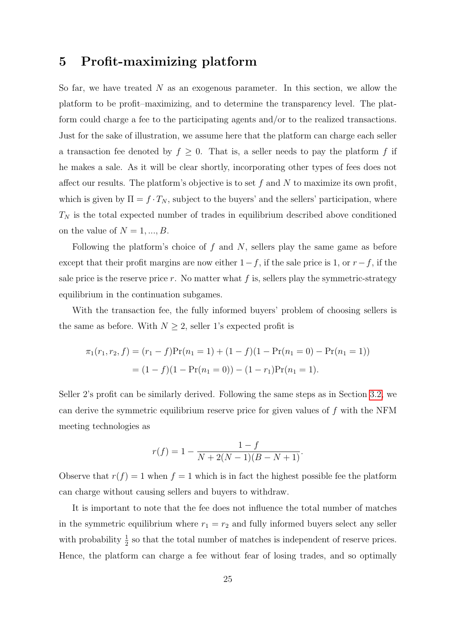# 5 Profit-maximizing platform

So far, we have treated  $N$  as an exogenous parameter. In this section, we allow the platform to be profit–maximizing, and to determine the transparency level. The platform could charge a fee to the participating agents and/or to the realized transactions. Just for the sake of illustration, we assume here that the platform can charge each seller a transaction fee denoted by  $f \geq 0$ . That is, a seller needs to pay the platform f if he makes a sale. As it will be clear shortly, incorporating other types of fees does not affect our results. The platform's objective is to set  $f$  and  $N$  to maximize its own profit, which is given by  $\Pi = f \cdot T_N$ , subject to the buyers' and the sellers' participation, where  $T_N$  is the total expected number of trades in equilibrium described above conditioned on the value of  $N = 1, ..., B$ .

Following the platform's choice of  $f$  and  $N$ , sellers play the same game as before except that their profit margins are now either  $1-f$ , if the sale price is 1, or  $r-f$ , if the sale price is the reserve price r. No matter what  $f$  is, sellers play the symmetric-strategy equilibrium in the continuation subgames.

With the transaction fee, the fully informed buyers' problem of choosing sellers is the same as before. With  $N \geq 2$ , seller 1's expected profit is

$$
\pi_1(r_1, r_2, f) = (r_1 - f) \Pr(n_1 = 1) + (1 - f)(1 - \Pr(n_1 = 0) - \Pr(n_1 = 1))
$$

$$
= (1 - f)(1 - \Pr(n_1 = 0)) - (1 - r_1) \Pr(n_1 = 1).
$$

Seller 2's profit can be similarly derived. Following the same steps as in Section 3.2, we can derive the symmetric equilibrium reserve price for given values of  $f$  with the NFM meeting technologies as

$$
r(f) = 1 - \frac{1 - f}{N + 2(N - 1)(B - N + 1)}.
$$

Observe that  $r(f) = 1$  when  $f = 1$  which is in fact the highest possible fee the platform can charge without causing sellers and buyers to withdraw.

It is important to note that the fee does not influence the total number of matches in the symmetric equilibrium where  $r_1 = r_2$  and fully informed buyers select any seller with probability  $\frac{1}{2}$  so that the total number of matches is independent of reserve prices. Hence, the platform can charge a fee without fear of losing trades, and so optimally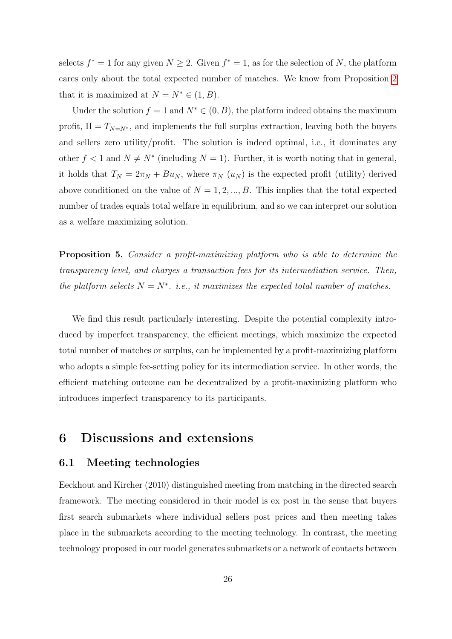selects  $f^* = 1$  for any given  $N \geq 2$ . Given  $f^* = 1$ , as for the selection of N, the platform cares only about the total expected number of matches. We know from Proposition 2 that it is maximized at  $N = N^* \in (1, B)$ .

Under the solution  $f = 1$  and  $N^* \in (0, B)$ , the platform indeed obtains the maximum profit,  $\Pi = T_{N=N^*}$ , and implements the full surplus extraction, leaving both the buyers and sellers zero utility/profit. The solution is indeed optimal, i.e., it dominates any other  $f < 1$  and  $N \neq N^*$  (including  $N = 1$ ). Further, it is worth noting that in general, it holds that  $T_N = 2\pi_N + Bu_N$ , where  $\pi_N(u_N)$  is the expected profit (utility) derived above conditioned on the value of  $N = 1, 2, ..., B$ . This implies that the total expected number of trades equals total welfare in equilibrium, and so we can interpret our solution as a welfare maximizing solution.

Proposition 5. Consider a profit-maximizing platform who is able to determine the transparency level, and charges a transaction fees for its intermediation service. Then, the platform selects  $N = N^*$ . i.e., it maximizes the expected total number of matches.

We find this result particularly interesting. Despite the potential complexity introduced by imperfect transparency, the efficient meetings, which maximize the expected total number of matches or surplus, can be implemented by a profit-maximizing platform who adopts a simple fee-setting policy for its intermediation service. In other words, the efficient matching outcome can be decentralized by a profit-maximizing platform who introduces imperfect transparency to its participants.

# 6 Discussions and extensions

#### 6.1 Meeting technologies

Eeckhout and Kircher (2010) distinguished meeting from matching in the directed search framework. The meeting considered in their model is ex post in the sense that buyers first search submarkets where individual sellers post prices and then meeting takes place in the submarkets according to the meeting technology. In contrast, the meeting technology proposed in our model generates submarkets or a network of contacts between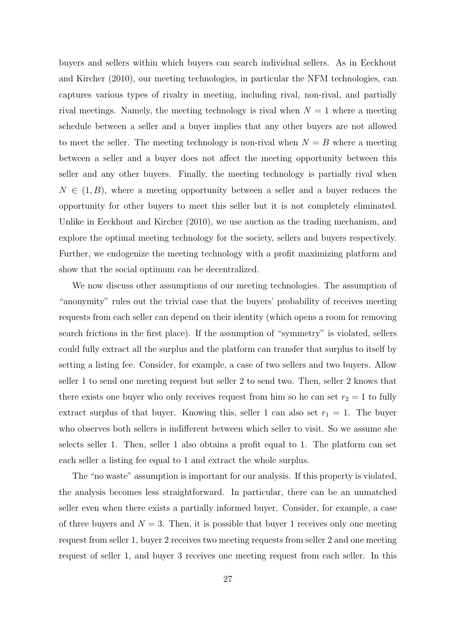buyers and sellers within which buyers can search individual sellers. As in Eeckhout and Kircher (2010), our meeting technologies, in particular the NFM technologies, can captures various types of rivalry in meeting, including rival, non-rival, and partially rival meetings. Namely, the meeting technology is rival when  $N = 1$  where a meeting schedule between a seller and a buyer implies that any other buyers are not allowed to meet the seller. The meeting technology is non-rival when  $N = B$  where a meeting between a seller and a buyer does not affect the meeting opportunity between this seller and any other buyers. Finally, the meeting technology is partially rival when  $N \in (1, B)$ , where a meeting opportunity between a seller and a buyer reduces the opportunity for other buyers to meet this seller but it is not completely eliminated. Unlike in Eeckhout and Kircher (2010), we use auction as the trading mechanism, and explore the optimal meeting technology for the society, sellers and buyers respectively. Further, we endogenize the meeting technology with a profit maximizing platform and show that the social optimum can be decentralized.

We now discuss other assumptions of our meeting technologies. The assumption of "anonymity" rules out the trivial case that the buyers' probability of receives meeting requests from each seller can depend on their identity (which opens a room for removing search frictions in the first place). If the assumption of "symmetry" is violated, sellers could fully extract all the surplus and the platform can transfer that surplus to itself by setting a listing fee. Consider, for example, a case of two sellers and two buyers. Allow seller 1 to send one meeting request but seller 2 to send two. Then, seller 2 knows that there exists one buyer who only receives request from him so he can set  $r_2 = 1$  to fully extract surplus of that buyer. Knowing this, seller 1 can also set  $r_1 = 1$ . The buyer who observes both sellers is indifferent between which seller to visit. So we assume she selects seller 1. Then, seller 1 also obtains a profit equal to 1. The platform can set each seller a listing fee equal to 1 and extract the whole surplus.

The "no waste" assumption is important for our analysis. If this property is violated, the analysis becomes less straightforward. In particular, there can be an unmatched seller even when there exists a partially informed buyer. Consider, for example, a case of three buyers and  $N = 3$ . Then, it is possible that buyer 1 receives only one meeting request from seller 1, buyer 2 receives two meeting requests from seller 2 and one meeting request of seller 1, and buyer 3 receives one meeting request from each seller. In this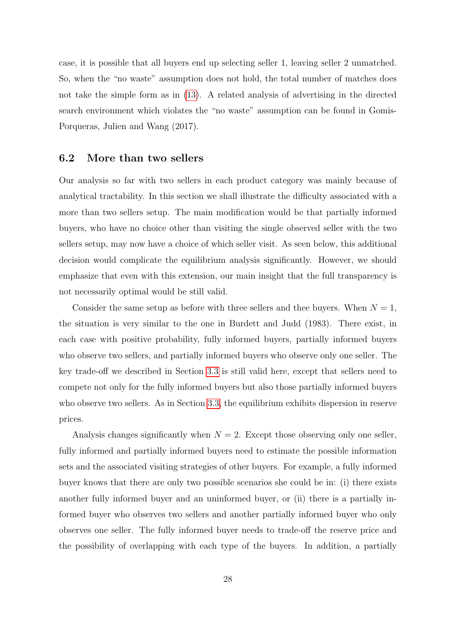case, it is possible that all buyers end up selecting seller 1, leaving seller 2 unmatched. So, when the "no waste" assumption does not hold, the total number of matches does not take the simple form as in (13). A related analysis of advertising in the directed search environment which violates the "no waste" assumption can be found in Gomis-Porqueras, Julien and Wang (2017).

#### 6.2 More than two sellers

Our analysis so far with two sellers in each product category was mainly because of analytical tractability. In this section we shall illustrate the difficulty associated with a more than two sellers setup. The main modification would be that partially informed buyers, who have no choice other than visiting the single observed seller with the two sellers setup, may now have a choice of which seller visit. As seen below, this additional decision would complicate the equilibrium analysis significantly. However, we should emphasize that even with this extension, our main insight that the full transparency is not necessarily optimal would be still valid.

Consider the same setup as before with three sellers and thee buyers. When  $N = 1$ , the situation is very similar to the one in Burdett and Judd (1983). There exist, in each case with positive probability, fully informed buyers, partially informed buyers who observe two sellers, and partially informed buyers who observe only one seller. The key trade-off we described in Section 3.3 is still valid here, except that sellers need to compete not only for the fully informed buyers but also those partially informed buyers who observe two sellers. As in Section 3.3, the equilibrium exhibits dispersion in reserve prices.

Analysis changes significantly when  $N = 2$ . Except those observing only one seller, fully informed and partially informed buyers need to estimate the possible information sets and the associated visiting strategies of other buyers. For example, a fully informed buyer knows that there are only two possible scenarios she could be in: (i) there exists another fully informed buyer and an uninformed buyer, or (ii) there is a partially informed buyer who observes two sellers and another partially informed buyer who only observes one seller. The fully informed buyer needs to trade-off the reserve price and the possibility of overlapping with each type of the buyers. In addition, a partially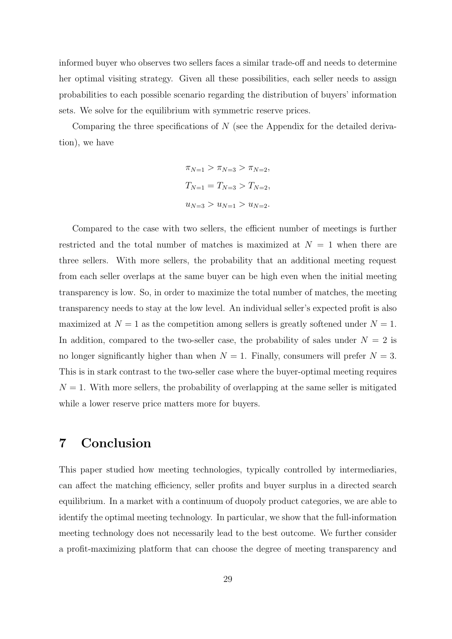informed buyer who observes two sellers faces a similar trade-off and needs to determine her optimal visiting strategy. Given all these possibilities, each seller needs to assign probabilities to each possible scenario regarding the distribution of buyers' information sets. We solve for the equilibrium with symmetric reserve prices.

Comparing the three specifications of N (see the Appendix for the detailed derivation), we have

$$
\pi_{N=1} > \pi_{N=3} > \pi_{N=2},
$$
  
\n
$$
T_{N=1} = T_{N=3} > T_{N=2},
$$
  
\n
$$
u_{N=3} > u_{N=1} > u_{N=2}.
$$

Compared to the case with two sellers, the efficient number of meetings is further restricted and the total number of matches is maximized at  $N = 1$  when there are three sellers. With more sellers, the probability that an additional meeting request from each seller overlaps at the same buyer can be high even when the initial meeting transparency is low. So, in order to maximize the total number of matches, the meeting transparency needs to stay at the low level. An individual seller's expected profit is also maximized at  $N = 1$  as the competition among sellers is greatly softened under  $N = 1$ . In addition, compared to the two-seller case, the probability of sales under  $N = 2$  is no longer significantly higher than when  $N = 1$ . Finally, consumers will prefer  $N = 3$ . This is in stark contrast to the two-seller case where the buyer-optimal meeting requires  $N = 1$ . With more sellers, the probability of overlapping at the same seller is mitigated while a lower reserve price matters more for buyers.

# 7 Conclusion

This paper studied how meeting technologies, typically controlled by intermediaries, can affect the matching efficiency, seller profits and buyer surplus in a directed search equilibrium. In a market with a continuum of duopoly product categories, we are able to identify the optimal meeting technology. In particular, we show that the full-information meeting technology does not necessarily lead to the best outcome. We further consider a profit-maximizing platform that can choose the degree of meeting transparency and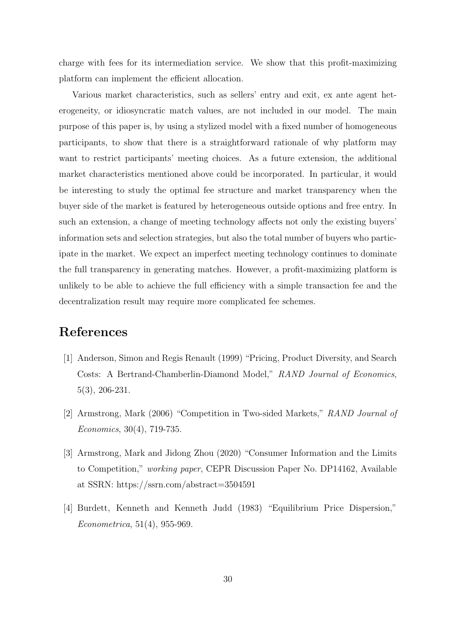charge with fees for its intermediation service. We show that this profit-maximizing platform can implement the efficient allocation.

Various market characteristics, such as sellers' entry and exit, ex ante agent heterogeneity, or idiosyncratic match values, are not included in our model. The main purpose of this paper is, by using a stylized model with a fixed number of homogeneous participants, to show that there is a straightforward rationale of why platform may want to restrict participants' meeting choices. As a future extension, the additional market characteristics mentioned above could be incorporated. In particular, it would be interesting to study the optimal fee structure and market transparency when the buyer side of the market is featured by heterogeneous outside options and free entry. In such an extension, a change of meeting technology affects not only the existing buyers' information sets and selection strategies, but also the total number of buyers who participate in the market. We expect an imperfect meeting technology continues to dominate the full transparency in generating matches. However, a profit-maximizing platform is unlikely to be able to achieve the full efficiency with a simple transaction fee and the decentralization result may require more complicated fee schemes.

# References

- [1] Anderson, Simon and Regis Renault (1999) "Pricing, Product Diversity, and Search Costs: A Bertrand-Chamberlin-Diamond Model," RAND Journal of Economics, 5(3), 206-231.
- [2] Armstrong, Mark (2006) "Competition in Two-sided Markets," RAND Journal of Economics, 30(4), 719-735.
- [3] Armstrong, Mark and Jidong Zhou (2020) "Consumer Information and the Limits to Competition," working paper, CEPR Discussion Paper No. DP14162, Available at SSRN: https://ssrn.com/abstract=3504591
- [4] Burdett, Kenneth and Kenneth Judd (1983) "Equilibrium Price Dispersion," Econometrica, 51(4), 955-969.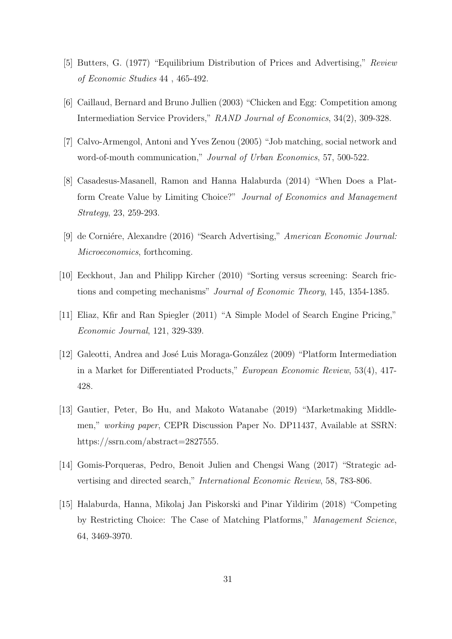- [5] Butters, G. (1977) "Equilibrium Distribution of Prices and Advertising," Review of Economic Studies 44 , 465-492.
- [6] Caillaud, Bernard and Bruno Jullien (2003) "Chicken and Egg: Competition among Intermediation Service Providers," RAND Journal of Economics, 34(2), 309-328.
- [7] Calvo-Armengol, Antoni and Yves Zenou (2005) "Job matching, social network and word-of-mouth communication," Journal of Urban Economics, 57, 500-522.
- [8] Casadesus-Masanell, Ramon and Hanna Halaburda (2014) "When Does a Platform Create Value by Limiting Choice?" Journal of Economics and Management Strategy, 23, 259-293.
- [9] de Corniére, Alexandre (2016) "Search Advertising," American Economic Journal: Microeconomics, forthcoming.
- [10] Eeckhout, Jan and Philipp Kircher (2010) "Sorting versus screening: Search frictions and competing mechanisms" Journal of Economic Theory, 145, 1354-1385.
- [11] Eliaz, Kfir and Ran Spiegler (2011) "A Simple Model of Search Engine Pricing," Economic Journal, 121, 329-339.
- [12] Galeotti, Andrea and José Luis Moraga-González (2009) "Platform Intermediation in a Market for Differentiated Products," European Economic Review, 53(4), 417- 428.
- [13] Gautier, Peter, Bo Hu, and Makoto Watanabe (2019) "Marketmaking Middlemen," working paper, CEPR Discussion Paper No. DP11437, Available at SSRN: https://ssrn.com/abstract=2827555.
- [14] Gomis-Porqueras, Pedro, Benoit Julien and Chengsi Wang (2017) "Strategic advertising and directed search," International Economic Review, 58, 783-806.
- [15] Halaburda, Hanna, Mikolaj Jan Piskorski and Pinar Yildirim (2018) "Competing by Restricting Choice: The Case of Matching Platforms," Management Science, 64, 3469-3970.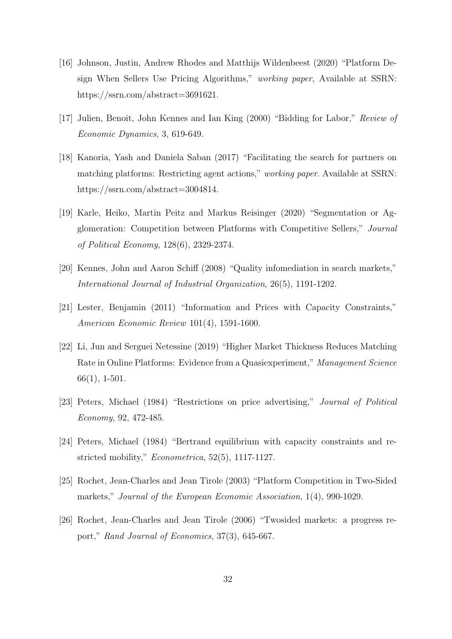- [16] Johnson, Justin, Andrew Rhodes and Matthijs Wildenbeest (2020) "Platform Design When Sellers Use Pricing Algorithms," working paper, Available at SSRN: https://ssrn.com/abstract=3691621.
- [17] Julien, Benoit, John Kennes and Ian King (2000) "Bidding for Labor," Review of Economic Dynamics, 3, 619-649.
- [18] Kanoria, Yash and Daniela Saban (2017) "Facilitating the search for partners on matching platforms: Restricting agent actions," working paper. Available at SSRN: https://ssrn.com/abstract=3004814.
- [19] Karle, Heiko, Martin Peitz and Markus Reisinger (2020) "Segmentation or Agglomeration: Competition between Platforms with Competitive Sellers," Journal of Political Economy, 128(6), 2329-2374.
- [20] Kennes, John and Aaron Schiff (2008) "Quality infomediation in search markets," International Journal of Industrial Organization, 26(5), 1191-1202.
- [21] Lester, Benjamin (2011) "Information and Prices with Capacity Constraints," American Economic Review 101(4), 1591-1600.
- [22] Li, Jun and Serguei Netessine (2019) "Higher Market Thickness Reduces Matching Rate in Online Platforms: Evidence from a Quasiexperiment," Management Science 66(1), 1-501.
- [23] Peters, Michael (1984) "Restrictions on price advertising," Journal of Political Economy, 92, 472-485.
- [24] Peters, Michael (1984) "Bertrand equilibrium with capacity constraints and restricted mobility," Econometrica, 52(5), 1117-1127.
- [25] Rochet, Jean-Charles and Jean Tirole (2003) "Platform Competition in Two-Sided markets," Journal of the European Economic Association, 1(4), 990-1029.
- [26] Rochet, Jean-Charles and Jean Tirole (2006) "Twosided markets: a progress report," Rand Journal of Economics, 37(3), 645-667.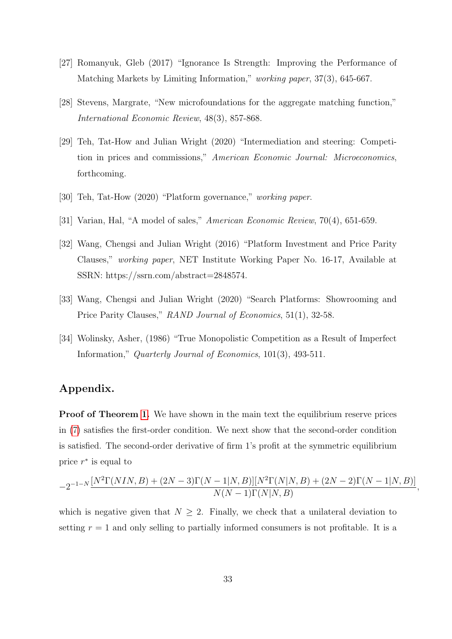- [27] Romanyuk, Gleb (2017) "Ignorance Is Strength: Improving the Performance of Matching Markets by Limiting Information," working paper, 37(3), 645-667.
- [28] Stevens, Margrate, "New microfoundations for the aggregate matching function," International Economic Review, 48(3), 857-868.
- [29] Teh, Tat-How and Julian Wright (2020) "Intermediation and steering: Competition in prices and commissions," American Economic Journal: Microeconomics, forthcoming.
- [30] Teh, Tat-How (2020) "Platform governance," working paper.
- [31] Varian, Hal, "A model of sales," American Economic Review, 70(4), 651-659.
- [32] Wang, Chengsi and Julian Wright (2016) "Platform Investment and Price Parity Clauses," working paper, NET Institute Working Paper No. 16-17, Available at SSRN: https://ssrn.com/abstract=2848574.
- [33] Wang, Chengsi and Julian Wright (2020) "Search Platforms: Showrooming and Price Parity Clauses," RAND Journal of Economics, 51(1), 32-58.
- [34] Wolinsky, Asher, (1986) "True Monopolistic Competition as a Result of Imperfect Information," Quarterly Journal of Economics, 101(3), 493-511.

### Appendix.

**Proof of Theorem 1.** We have shown in the main text the equilibrium reserve prices in (7) satisfies the first-order condition. We next show that the second-order condition is satisfied. The second-order derivative of firm 1's profit at the symmetric equilibrium price  $r^*$  is equal to

$$
-2^{-1-N} \frac{[N^2 \Gamma(NIN,B) + (2N-3) \Gamma(N-1|N,B)] [N^2 \Gamma(N|N,B) + (2N-2) \Gamma(N-1|N,B)]}{N(N-1) \Gamma(N|N,B)}
$$

,

which is negative given that  $N \geq 2$ . Finally, we check that a unilateral deviation to setting  $r = 1$  and only selling to partially informed consumers is not profitable. It is a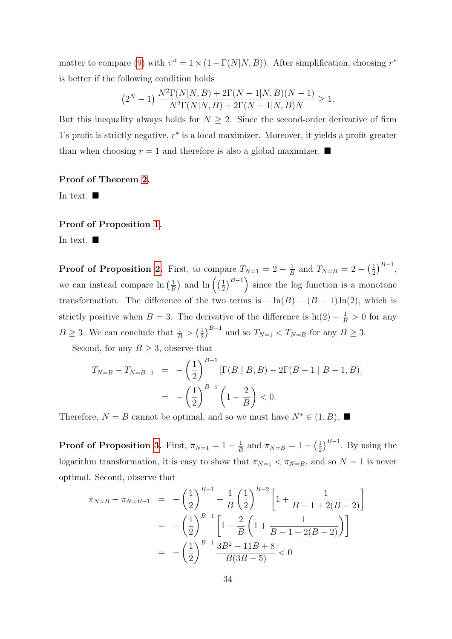matter to compare (9) with  $\pi^d = 1 \times (1 - \Gamma(N|N, B))$ . After simplification, choosing  $r^*$ is better if the following condition holds

$$
(2N - 1) \frac{N2 \Gamma(N|N, B) + 2\Gamma(N - 1|N, B)(N - 1)}{N2 \Gamma(N|N, B) + 2\Gamma(N - 1|N, B)N} \ge 1.
$$

But this inequality always holds for  $N \geq 2$ . Since the second-order derivative of firm 1's profit is strictly negative,  $r^*$  is a local maximizer. Moreover, it yields a profit greater than when choosing  $r = 1$  and therefore is also a global maximizer.

#### Proof of Theorem 2.

In text.  $\blacksquare$ 

#### Proof of Proposition 1.

In text.  $\blacksquare$ 

**Proof of Proposition 2.** First, to compare  $T_{N=1} = 2 - \frac{1}{E}$  $\frac{1}{B}$  and  $T_{N=B} = 2 - (\frac{1}{2})$  $(\frac{1}{2})^{B-1},$ we can instead compare  $\ln\left(\frac{1}{R}\right)$  $\frac{1}{B}$  and  $\ln\left(\left(\frac{1}{2}\right)$  $\left(\frac{1}{2}\right)^{B-1}$  since the log function is a monotone transformation. The difference of the two terms is  $-\ln(B) + (B-1)\ln(2)$ , which is strictly positive when  $B = 3$ . The derivative of the difference is  $\ln(2) - \frac{1}{B} > 0$  for any  $B \geq 3$ . We can conclude that  $\frac{1}{B} > \left(\frac{1}{2}\right)$  $(\frac{1}{2})^{B-1}$  and so  $T_{N=1} < T_{N=B}$  for any  $B \ge 3$ .

Second, for any  $B \geq 3$ , observe that

$$
T_{N=B} - T_{N=B-1} = -\left(\frac{1}{2}\right)^{B-1} \left[\Gamma(B \mid B, B) - 2\Gamma(B-1 \mid B-1, B)\right]
$$

$$
= -\left(\frac{1}{2}\right)^{B-1} \left(1 - \frac{2}{B}\right) < 0.
$$

Therefore,  $N = B$  cannot be optimal, and so we must have  $N^* \in (1, B)$ .

**Proof of Proposition 3.** First,  $\pi_{N=1} = 1 - \frac{1}{F}$  $\frac{1}{B}$  and  $\pi_{N=B} = 1 - \left(\frac{1}{2}\right)$  $\frac{1}{2}$  $\Big)^{B-1}$ . By using the logarithm transformation, it is easy to show that  $\pi_{N=1} < \pi_{N=B}$ , and so  $N=1$  is never optimal. Second, observe that

$$
\pi_{N=B} - \pi_{N=B-1} = -\left(\frac{1}{2}\right)^{B-1} + \frac{1}{B}\left(\frac{1}{2}\right)^{B-2} \left[1 + \frac{1}{B-1+2(B-2)}\right]
$$

$$
= -\left(\frac{1}{2}\right)^{B-1} \left[1 - \frac{2}{B}\left(1 + \frac{1}{B-1+2(B-2)}\right)\right]
$$

$$
= -\left(\frac{1}{2}\right)^{B-1} \frac{3B^2 - 11B + 8}{B(3B-5)} < 0
$$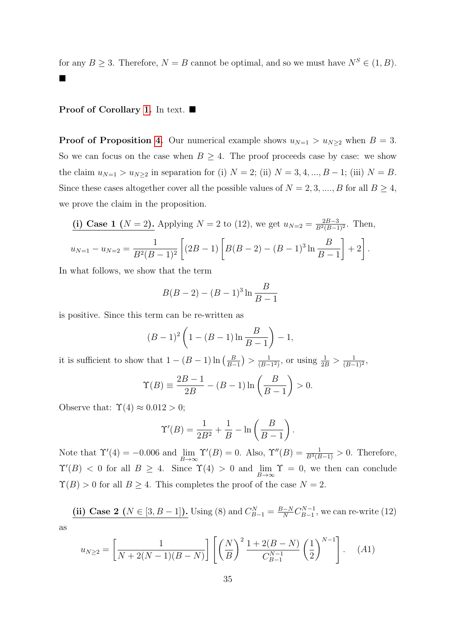for any  $B \ge 3$ . Therefore,  $N = B$  cannot be optimal, and so we must have  $N^S \in (1, B)$ .  $\blacksquare$ 

#### Proof of Corollary 1. In text. ■

**Proof of Proposition 4.** Our numerical example shows  $u_{N=1} > u_{N\geq 2}$  when  $B = 3$ . So we can focus on the case when  $B \geq 4$ . The proof proceeds case by case: we show the claim  $u_{N=1} > u_{N\geq 2}$  in separation for (i)  $N = 2$ ; (ii)  $N = 3, 4, ..., B - 1$ ; (iii)  $N = B$ . Since these cases altogether cover all the possible values of  $N = 2, 3, ..., B$  for all  $B \ge 4$ , we prove the claim in the proposition.

(i) Case 1 (N = 2). Applying 
$$
N = 2
$$
 to (12), we get  $u_{N=2} = \frac{2B-3}{B^2(B-1)^2}$ . Then,  

$$
u_{N=1} - u_{N=2} = \frac{1}{B^2(B-1)^2} \left[ (2B-1) \left[ B(B-2) - (B-1)^3 \ln \frac{B}{B-1} \right] + 2 \right].
$$

In what follows, we show that the term

$$
B(B-2) - (B-1)^3 \ln \frac{B}{B-1}
$$

is positive. Since this term can be re-written as

$$
(B-1)^2 \left(1 - (B-1)\ln\frac{B}{B-1}\right) - 1,
$$

it is sufficient to show that  $1 - (B - 1) \ln \left( \frac{B}{B - 1} \right)$  $\frac{B}{B-1}$ ) >  $\frac{1}{(B-1)}$  $\frac{1}{(B-1^2)}$ , or using  $\frac{1}{2B} > \frac{1}{(B-1^2)}$  $\frac{1}{(B-1)^2}$ 

$$
\Upsilon(B) \equiv \frac{2B - 1}{2B} - (B - 1)\ln\left(\frac{B}{B - 1}\right) > 0.
$$

Observe that:  $\Upsilon(4) \approx 0.012 > 0$ ;

$$
\Upsilon'(B) = \frac{1}{2B^2} + \frac{1}{B} - \ln\left(\frac{B}{B-1}\right).
$$

Note that  $\Upsilon'(4) = -0.006$  and  $\lim_{B \to \infty} \Upsilon'(B) = 0$ . Also,  $\Upsilon''(B) = \frac{1}{B^3(B-1)} > 0$ . Therefore,  $\Upsilon'(B) < 0$  for all  $B \geq 4$ . Since  $\Upsilon(4) > 0$  and  $\lim_{B \to \infty} \Upsilon = 0$ , we then can conclude  $\Upsilon(B) > 0$  for all  $B \geq 4$ . This completes the proof of the case  $N = 2$ .

(ii) Case 2 (
$$
N \in [3, B-1]
$$
). Using (8) and  $C_{B-1}^N = \frac{B-N}{N} C_{B-1}^{N-1}$ , we can re-write (12)

as

$$
u_{N\geq 2} = \left[\frac{1}{N+2(N-1)(B-N)}\right] \left[\left(\frac{N}{B}\right)^2 \frac{1+2(B-N)}{C_{B-1}^{N-1}} \left(\frac{1}{2}\right)^{N-1}\right].\tag{A1}
$$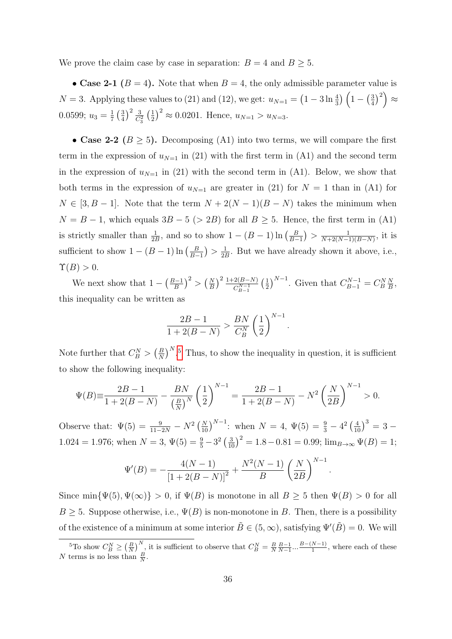We prove the claim case by case in separation:  $B = 4$  and  $B \ge 5$ .

• Case 2-1 ( $B = 4$ ). Note that when  $B = 4$ , the only admissible parameter value is  $N = 3$ . Applying these values to (21) and (12), we get:  $u_{N=1} = (1 - 3 \ln \frac{4}{3}) (1 - (\frac{3}{4})$  $\left(\frac{3}{4}\right)^2\bigg) \approx$ 0.0599;  $u_3 = \frac{1}{7}$  $rac{1}{7}$   $rac{3}{4}$  $\frac{3}{4}$  $\Big)^2 \frac{3}{C_3^2} \left(\frac{1}{2}\right)$  $(\frac{1}{2})^2 \approx 0.0201$ . Hence,  $u_{N=1} > u_{N=3}$ .

• Case 2-2 ( $B \ge 5$ ). Decomposing (A1) into two terms, we will compare the first term in the expression of  $u_{N=1}$  in (21) with the first term in (A1) and the second term in the expression of  $u_{N=1}$  in (21) with the second term in (A1). Below, we show that both terms in the expression of  $u_{N=1}$  are greater in (21) for  $N = 1$  than in (A1) for  $N \in [3, B - 1]$ . Note that the term  $N + 2(N - 1)(B - N)$  takes the minimum when  $N = B - 1$ , which equals  $3B - 5$  (> 2B) for all  $B \ge 5$ . Hence, the first term in (A1) is strictly smaller than  $\frac{1}{2B}$ , and so to show  $1 - (B - 1) \ln \left( \frac{B}{B - 1}\right)$  $\frac{B}{B-1}$ ) >  $\frac{1}{N+2(N-1)}$  $\frac{1}{N+2(N-1)(B-N)}$ , it is sufficient to show  $1 - (B - 1) \ln \left( \frac{B}{B - 1} \right)$  $\frac{B}{B-1}$ ) >  $\frac{1}{2B}$  $\frac{1}{2B}$ . But we have already shown it above, i.e.,  $\Upsilon(B) > 0.$ 

We next show that  $1 - \left(\frac{B-1}{B}\right)$  $\left(\frac{B}{B}\right)^2 > \left(\frac{N}{B}\right)^2 \frac{1+2(B-N)}{C_{B-1}^{N-1}} \left(\frac{1}{2}\right)$  $(\frac{1}{2})^{N-1}$ . Given that  $C_{B-1}^{N-1} = C_B^N \frac{N}{B}$  $\frac{N}{B}$ this inequality can be written as

$$
\frac{2B - 1}{1 + 2(B - N)} > \frac{BN}{C_B^N} \left(\frac{1}{2}\right)^{N-1}.
$$

Note further that  $C_B^N > \left(\frac{B}{N}\right)$  $\left(\frac{B}{N}\right)^N$ <sup>5</sup>. Thus, to show the inequality in question, it is sufficient to show the following inequality:

$$
\Psi(B) \equiv \frac{2B - 1}{1 + 2(B - N)} - \frac{BN}{\left(\frac{B}{N}\right)^N} \left(\frac{1}{2}\right)^{N-1} = \frac{2B - 1}{1 + 2(B - N)} - N^2 \left(\frac{N}{2B}\right)^{N-1} > 0.
$$

Observe that:  $\Psi(5) = \frac{9}{11-2N} - N^2 \left(\frac{N}{10}\right)^{N-1}$ : when  $N = 4$ ,  $\Psi(5) = \frac{9}{3} - 4^2 \left(\frac{4}{10}\right)^3 = 3 -$ 1.024 = 1.976; when  $N = 3$ ,  $\Psi(5) = \frac{9}{5} - 3^2 \left(\frac{3}{10}\right)^2 = 1.8 - 0.81 = 0.99$ ;  $\lim_{B \to \infty} \Psi(B) = 1$ ;

$$
\Psi'(B) = -\frac{4(N-1)}{[1+2(B-N)]^2} + \frac{N^2(N-1)}{B} \left(\frac{N}{2B}\right)^{N-1}
$$

.

Since min $\{\Psi(5), \Psi(\infty)\} > 0$ , if  $\Psi(B)$  is monotone in all  $B \ge 5$  then  $\Psi(B) > 0$  for all  $B \geq 5$ . Suppose otherwise, i.e.,  $\Psi(B)$  is non-monotone in B. Then, there is a possibility of the existence of a minimum at some interior  $\tilde{B} \in (5, \infty)$ , satisfying  $\Psi'(\tilde{B}) = 0$ . We will

<sup>&</sup>lt;sup>5</sup>To show  $C_B^N \geq \left(\frac{B}{N}\right)^N$ , it is sufficient to observe that  $C_B^N = \frac{B}{N} \frac{B-1}{N-1} \dots \frac{B-(N-1)}{1}$  $\frac{N-1}{1}$ , where each of these N terms is no less than  $\frac{B}{N}$ .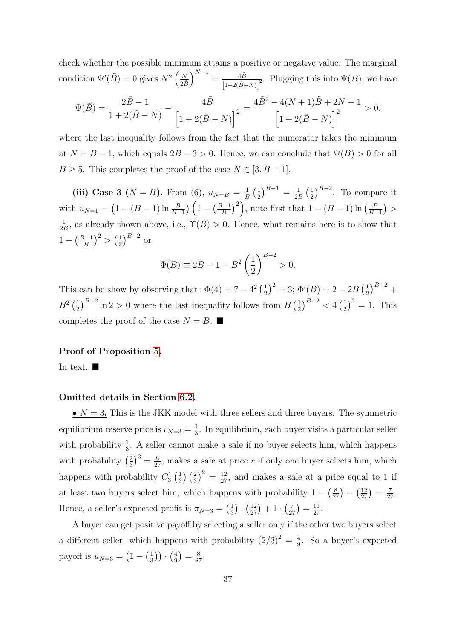check whether the possible minimum attains a positive or negative value. The marginal condition  $\Psi'(\tilde{B}) = 0$  gives  $N^2 \left(\frac{N}{2\tilde{B}}\right)$  $\bigg)^{N-1} = \frac{4\tilde{B}}{\ln 2\tilde{B}}$  $\frac{4B}{\left[1+2(\tilde{B}-N)\right]^2}$ . Plugging this into  $\Psi(B)$ , we have

$$
\Psi(\tilde{B}) = \frac{2\tilde{B} - 1}{1 + 2(\tilde{B} - N)} - \frac{4\tilde{B}}{\left[1 + 2(\tilde{B} - N)\right]^2} = \frac{4\tilde{B}^2 - 4(N + 1)\tilde{B} + 2N - 1}{\left[1 + 2(\tilde{B} - N)\right]^2} > 0,
$$

where the last inequality follows from the fact that the numerator takes the minimum at  $N = B - 1$ , which equals  $2B - 3 > 0$ . Hence, we can conclude that  $\Psi(B) > 0$  for all  $B \geq 5$ . This completes the proof of the case  $N \in [3, B-1]$ .

(iii) Case 3 ( $N = B$ ). From (6),  $u_{N=B} = \frac{1}{B}$  $\frac{1}{B}$   $\left(\frac{1}{2}\right)$  $\frac{1}{2}$  $\Big)^{B-1} = \frac{1}{2l}$  $\frac{1}{2B}$   $\left(\frac{1}{2}\right)$  $\frac{1}{2}$  $\Big)^{B-2}$ . To compare it with  $u_{N=1} = (1 - (B - 1) \ln \frac{B}{B-1}) (1 - (\frac{B-1}{B}))$  $\left(\frac{B-1}{B}\right)^2$ , note first that  $1 - (B-1)\ln\left(\frac{B}{B-1}\right)$  $\frac{B}{B-1})$  > 1  $\frac{1}{2B}$ , as already shown above, i.e.,  $\Upsilon(B) > 0$ . Hence, what remains here is to show that  $1 - (\frac{B-1}{B})$  $\left(\frac{B}{B}\right)^2 > \left(\frac{1}{2}\right)$  $\frac{1}{2}$ ) $^{B-2}$  or

$$
\Phi(B) \equiv 2B - 1 - B^2 \left(\frac{1}{2}\right)^{B-2} > 0.
$$

This can be show by observing that:  $\Phi(4) = 7 - 4^2 \left(\frac{1}{2}\right)$  $(\frac{1}{2})^2 = 3$ ;  $\Phi'(B) = 2 - 2B(\frac{1}{2})$  $(\frac{1}{2})^{B-2}$  +  $B^2\left(\frac{1}{2}\right)$  $\frac{1}{2}$  $\left[\frac{1}{2}\right]$  $B-2$  ln 2 > 0 where the last inequality follows from  $B\left(\frac{1}{2}\right)$  $\frac{1}{2}$  $\binom{B-2}{2}$  < 4  $\left(\frac{1}{2}\right)$  $(\frac{1}{2})^2 = 1$ . This completes the proof of the case  $N = B$ .

#### Proof of Proposition 5.

In text.  $\blacksquare$ 

#### Omitted details in Section 6.2.

 $\bullet$   $N = 3$ . This is the JKK model with three sellers and three buyers. The symmetric equilibrium reserve price is  $r_{N=3} = \frac{1}{3}$  $\frac{1}{3}$ . In equilibrium, each buyer visits a particular seller with probability  $\frac{1}{3}$ . A seller cannot make a sale if no buyer selects him, which happens with probability  $\left(\frac{2}{3}\right)$  $\frac{2}{3}$ )<sup>3</sup> =  $\frac{8}{27}$ , makes a sale at price r if only one buyer selects him, which happens with probability  $C_3^1\left(\frac{1}{3}\right)$  $\frac{1}{3}$   $\left(\frac{2}{3}\right)^2 = \frac{12}{27}$ , and makes a sale at a price equal to 1 if at least two buyers select him, which happens with probability  $1 - \left(\frac{8}{27}\right) - \left(\frac{12}{27}\right) = \frac{7}{27}$ . Hence, a seller's expected profit is  $\pi_{N=3} = \left(\frac{1}{3}\right)$  $\frac{1}{3}$ )  $\cdot$   $\left(\frac{12}{27}\right)$  + 1  $\cdot$   $\left(\frac{7}{27}\right)$  =  $\frac{11}{27}$ .

A buyer can get positive payoff by selecting a seller only if the other two buyers select a different seller, which happens with probability  $(2/3)^2 = \frac{4}{9}$  $\frac{4}{9}$ . So a buyer's expected payoff is  $u_{N=3} = (1 - (\frac{1}{3})^2)$  $\left(\frac{1}{3}\right)\right) \cdot \left(\frac{4}{9}\right)$  $\frac{4}{9}$ ) =  $\frac{8}{27}$ .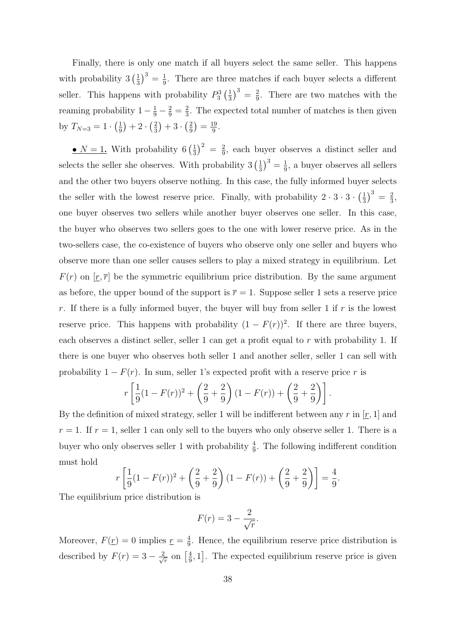Finally, there is only one match if all buyers select the same seller. This happens with probability  $3\left(\frac{1}{3}\right)$  $\frac{1}{3}$ )<sup>3</sup> =  $\frac{1}{9}$  $\frac{1}{9}$ . There are three matches if each buyer selects a different seller. This happens with probability  $P_3^3\left(\frac{1}{3}\right)$  $\frac{1}{3}$ )<sup>3</sup> =  $\frac{2}{9}$  $\frac{2}{9}$ . There are two matches with the reaming probability  $1 - \frac{1}{9} - \frac{2}{9} = \frac{2}{3}$  $\frac{2}{3}$ . The expected total number of matches is then given by  $T_{N=3} = 1 \cdot \left(\frac{1}{9}\right)$  $(\frac{1}{9})+2\cdot(\frac{2}{3})$  $(\frac{2}{3})+3\cdot(\frac{2}{9})$  $(\frac{2}{9}) = \frac{19}{9}$  $\frac{19}{9}$ .

•  $N=1$ . With probability 6  $\left(\frac{1}{3}\right)$  $\frac{1}{3}$ )<sup>2</sup> =  $\frac{2}{9}$  $\frac{2}{9}$ , each buyer observes a distinct seller and selects the seller she observes. With probability  $3\left(\frac{1}{3}\right)$  $\frac{1}{3}$ )<sup>3</sup> =  $\frac{1}{9}$  $\frac{1}{9}$ , a buyer observes all sellers and the other two buyers observe nothing. In this case, the fully informed buyer selects the seller with the lowest reserve price. Finally, with probability  $2 \cdot 3 \cdot 3 \cdot \left(\frac{1}{3}\right)$  $\frac{1}{3}$ )<sup>3</sup> =  $\frac{2}{3}$  $\frac{2}{3}$ , one buyer observes two sellers while another buyer observes one seller. In this case, the buyer who observes two sellers goes to the one with lower reserve price. As in the two-sellers case, the co-existence of buyers who observe only one seller and buyers who observe more than one seller causes sellers to play a mixed strategy in equilibrium. Let  $F(r)$  on  $[\underline{r}, \overline{r}]$  be the symmetric equilibrium price distribution. By the same argument as before, the upper bound of the support is  $\bar{r} = 1$ . Suppose seller 1 sets a reserve price r. If there is a fully informed buyer, the buyer will buy from seller 1 if  $r$  is the lowest reserve price. This happens with probability  $(1 - F(r))^2$ . If there are three buyers, each observes a distinct seller, seller 1 can get a profit equal to  $r$  with probability 1. If there is one buyer who observes both seller 1 and another seller, seller 1 can sell with probability  $1 - F(r)$ . In sum, seller 1's expected profit with a reserve price r is

$$
r\left[\frac{1}{9}(1-F(r))^{2}+\left(\frac{2}{9}+\frac{2}{9}\right)(1-F(r))+\left(\frac{2}{9}+\frac{2}{9}\right)\right].
$$

By the definition of mixed strategy, seller 1 will be indifferent between any r in  $[r, 1]$  and  $r = 1$ . If  $r = 1$ , seller 1 can only sell to the buyers who only observe seller 1. There is a buyer who only observes seller 1 with probability  $\frac{4}{9}$ . The following indifferent condition must hold

$$
r\left[\frac{1}{9}(1-F(r))^2 + \left(\frac{2}{9} + \frac{2}{9}\right)(1-F(r)) + \left(\frac{2}{9} + \frac{2}{9}\right)\right] = \frac{4}{9}.
$$

The equilibrium price distribution is

$$
F(r) = 3 - \frac{2}{\sqrt{r}}.
$$

Moreover,  $F(\underline{r}) = 0$  implies  $\underline{r} = \frac{4}{9}$  $\frac{4}{9}$ . Hence, the equilibrium reserve price distribution is described by  $F(r) = 3 - \frac{2}{\sqrt{2}}$  $\frac{1}{r}$  on  $\left[\frac{4}{9}\right]$  $\frac{4}{9}$ , 1]. The expected equilibrium reserve price is given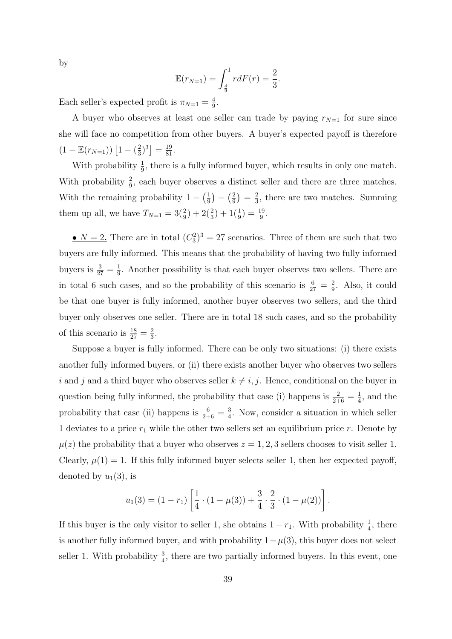by

$$
\mathbb{E}(r_{N=1}) = \int_{\frac{4}{9}}^{1} r dF(r) = \frac{2}{3}.
$$

Each seller's expected profit is  $\pi_{N=1} = \frac{4}{9}$  $\frac{4}{9}$ .

A buyer who observes at least one seller can trade by paying  $r_{N=1}$  for sure since she will face no competition from other buyers. A buyer's expected payoff is therefore  $(1 - \mathbb{E}(r_{N=1})) \left[ 1 - \left( \frac{2}{3} \right) \right]$  $(\frac{2}{3})^3] = \frac{19}{81}.$ 

With probability  $\frac{1}{9}$ , there is a fully informed buyer, which results in only one match. With probability  $\frac{2}{9}$ , each buyer observes a distinct seller and there are three matches. With the remaining probability  $1 - \left(\frac{1}{9}\right)$  $(\frac{1}{9}) - (\frac{2}{9})$  $\frac{2}{9}$  =  $\frac{2}{3}$  $\frac{2}{3}$ , there are two matches. Summing them up all, we have  $T_{N=1} = 3(\frac{2}{9}) + 2(\frac{2}{3}) + 1(\frac{1}{9}) = \frac{19}{9}$ .

•  $N = 2$ . There are in total  $(C_3^2)^3 = 27$  scenarios. Three of them are such that two buyers are fully informed. This means that the probability of having two fully informed buyers is  $\frac{3}{27} = \frac{1}{9}$  $\frac{1}{9}$ . Another possibility is that each buyer observes two sellers. There are in total 6 such cases, and so the probability of this scenario is  $\frac{6}{27} = \frac{2}{9}$  $\frac{2}{9}$ . Also, it could be that one buyer is fully informed, another buyer observes two sellers, and the third buyer only observes one seller. There are in total 18 such cases, and so the probability of this scenario is  $\frac{18}{27} = \frac{2}{3}$  $\frac{2}{3}$ .

Suppose a buyer is fully informed. There can be only two situations: (i) there exists another fully informed buyers, or (ii) there exists another buyer who observes two sellers i and j and a third buyer who observes seller  $k \neq i, j$ . Hence, conditional on the buyer in question being fully informed, the probability that case (i) happens is  $\frac{2}{2+6} = \frac{1}{4}$  $\frac{1}{4}$ , and the probability that case (ii) happens is  $\frac{6}{2+6} = \frac{3}{4}$  $\frac{3}{4}$ . Now, consider a situation in which seller 1 deviates to a price  $r_1$  while the other two sellers set an equilibrium price r. Denote by  $\mu(z)$  the probability that a buyer who observes  $z = 1, 2, 3$  sellers chooses to visit seller 1. Clearly,  $\mu(1) = 1$ . If this fully informed buyer selects seller 1, then her expected payoff, denoted by  $u_1(3)$ , is

$$
u_1(3) = (1 - r_1) \left[ \frac{1}{4} \cdot (1 - \mu(3)) + \frac{3}{4} \cdot \frac{2}{3} \cdot (1 - \mu(2)) \right].
$$

If this buyer is the only visitor to seller 1, she obtains  $1 - r_1$ . With probability  $\frac{1}{4}$ , there is another fully informed buyer, and with probability  $1-\mu(3)$ , this buyer does not select seller 1. With probability  $\frac{3}{4}$ , there are two partially informed buyers. In this event, one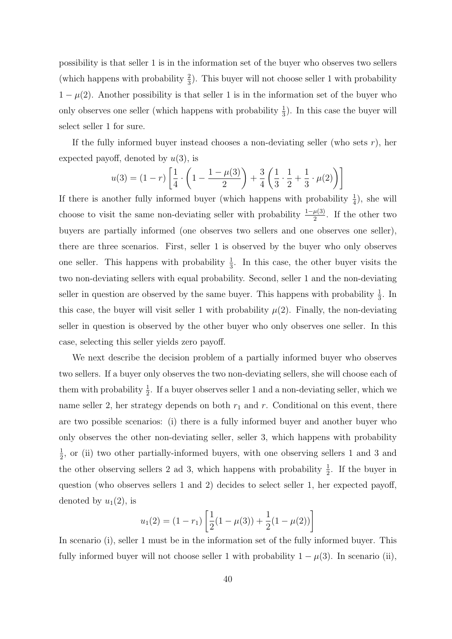possibility is that seller 1 is in the information set of the buyer who observes two sellers (which happens with probability  $\frac{2}{3}$ ). This buyer will not choose seller 1 with probability  $1 - \mu(2)$ . Another possibility is that seller 1 is in the information set of the buyer who only observes one seller (which happens with probability  $\frac{1}{3}$ ). In this case the buyer will select seller 1 for sure.

If the fully informed buyer instead chooses a non-deviating seller (who sets  $r$ ), her expected payoff, denoted by  $u(3)$ , is

$$
u(3) = (1 - r) \left[ \frac{1}{4} \cdot \left( 1 - \frac{1 - \mu(3)}{2} \right) + \frac{3}{4} \left( \frac{1}{3} \cdot \frac{1}{2} + \frac{1}{3} \cdot \mu(2) \right) \right]
$$

If there is another fully informed buyer (which happens with probability  $\frac{1}{4}$ ), she will choose to visit the same non-deviating seller with probability  $\frac{1-\mu(3)}{2}$ . If the other two buyers are partially informed (one observes two sellers and one observes one seller), there are three scenarios. First, seller 1 is observed by the buyer who only observes one seller. This happens with probability  $\frac{1}{3}$ . In this case, the other buyer visits the two non-deviating sellers with equal probability. Second, seller 1 and the non-deviating seller in question are observed by the same buyer. This happens with probability  $\frac{1}{3}$ . In this case, the buyer will visit seller 1 with probability  $\mu(2)$ . Finally, the non-deviating seller in question is observed by the other buyer who only observes one seller. In this case, selecting this seller yields zero payoff.

We next describe the decision problem of a partially informed buyer who observes two sellers. If a buyer only observes the two non-deviating sellers, she will choose each of them with probability  $\frac{1}{2}$ . If a buyer observes seller 1 and a non-deviating seller, which we name seller 2, her strategy depends on both  $r_1$  and r. Conditional on this event, there are two possible scenarios: (i) there is a fully informed buyer and another buyer who only observes the other non-deviating seller, seller 3, which happens with probability 1  $\frac{1}{2}$ , or (ii) two other partially-informed buyers, with one observing sellers 1 and 3 and the other observing sellers 2 ad 3, which happens with probability  $\frac{1}{2}$ . If the buyer in question (who observes sellers 1 and 2) decides to select seller 1, her expected payoff, denoted by  $u_1(2)$ , is

$$
u_1(2) = (1 - r_1) \left[ \frac{1}{2} (1 - \mu(3)) + \frac{1}{2} (1 - \mu(2)) \right]
$$

In scenario (i), seller 1 must be in the information set of the fully informed buyer. This fully informed buyer will not choose seller 1 with probability  $1 - \mu(3)$ . In scenario (ii),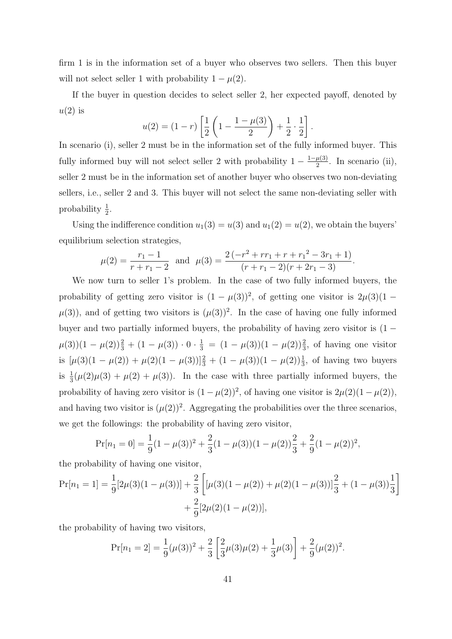firm 1 is in the information set of a buyer who observes two sellers. Then this buyer will not select seller 1 with probability  $1 - \mu(2)$ .

If the buyer in question decides to select seller 2, her expected payoff, denoted by  $u(2)$  is

$$
u(2) = (1 - r) \left[ \frac{1}{2} \left( 1 - \frac{1 - \mu(3)}{2} \right) + \frac{1}{2} \cdot \frac{1}{2} \right].
$$

In scenario (i), seller 2 must be in the information set of the fully informed buyer. This fully informed buy will not select seller 2 with probability  $1 - \frac{1-\mu(3)}{2}$  $\frac{\mu(3)}{2}$ . In scenario (ii), seller 2 must be in the information set of another buyer who observes two non-deviating sellers, i.e., seller 2 and 3. This buyer will not select the same non-deviating seller with probability  $\frac{1}{2}$ .

Using the indifference condition  $u_1(3) = u(3)$  and  $u_1(2) = u(2)$ , we obtain the buyers' equilibrium selection strategies,

$$
\mu(2) = \frac{r_1 - 1}{r + r_1 - 2} \text{ and } \mu(3) = \frac{2(-r^2 + rr_1 + r + r_1^2 - 3r_1 + 1)}{(r + r_1 - 2)(r + 2r_1 - 3)}.
$$

We now turn to seller 1's problem. In the case of two fully informed buyers, the probability of getting zero visitor is  $(1 - \mu(3))^2$ , of getting one visitor is  $2\mu(3)(1 \mu(3)$ , and of getting two visitors is  $(\mu(3))^2$ . In the case of having one fully informed buyer and two partially informed buyers, the probability of having zero visitor is (1 −  $\mu(3)(1-\mu(2))\frac{2}{3}+(1-\mu(3))\cdot 0 \cdot \frac{1}{3}=(1-\mu(3))(1-\mu(2))\frac{2}{3}$ , of having one visitor is  $[\mu(3)(1 - \mu(2)) + \mu(2)(1 - \mu(3))]_{3}^{2} + (1 - \mu(3))(1 - \mu(2))_{3}^{1}$ , of having two buyers is  $\frac{1}{3}(\mu(2)\mu(3) + \mu(2) + \mu(3))$ . In the case with three partially informed buyers, the probability of having zero visitor is  $(1 - \mu(2))^2$ , of having one visitor is  $2\mu(2)(1 - \mu(2))$ , and having two visitor is  $(\mu(2))^2$ . Aggregating the probabilities over the three scenarios, we get the followings: the probability of having zero visitor,

$$
Pr[n_1 = 0] = \frac{1}{9}(1 - \mu(3))^2 + \frac{2}{3}(1 - \mu(3))(1 - \mu(2))\frac{2}{3} + \frac{2}{9}(1 - \mu(2))^2,
$$

the probability of having one visitor,

$$
\Pr[n_1 = 1] = \frac{1}{9} [2\mu(3)(1 - \mu(3))] + \frac{2}{3} \left[ [\mu(3)(1 - \mu(2)) + \mu(2)(1 - \mu(3))] \frac{2}{3} + (1 - \mu(3)) \frac{1}{3} \right] + \frac{2}{9} [2\mu(2)(1 - \mu(2))],
$$

the probability of having two visitors,

$$
Pr[n_1 = 2] = \frac{1}{9}(\mu(3))^2 + \frac{2}{3}\left[\frac{2}{3}\mu(3)\mu(2) + \frac{1}{3}\mu(3)\right] + \frac{2}{9}(\mu(2))^2.
$$